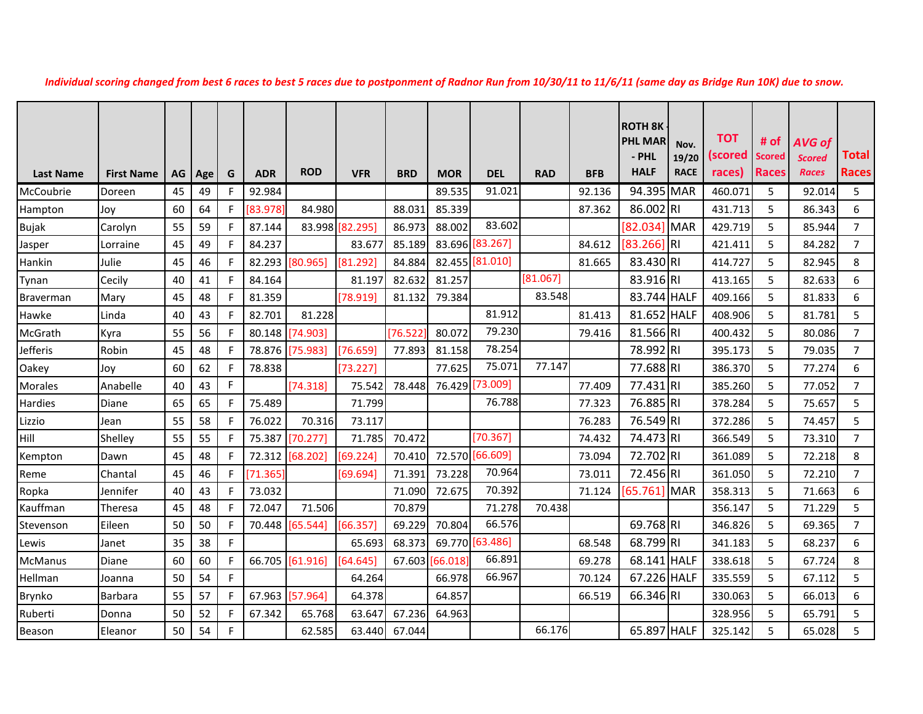|                  |                   |     |     |             |            |                 |                 |            |               |                 |            |            | <b>ROTH 8K</b> |             |         |        |               |                |
|------------------|-------------------|-----|-----|-------------|------------|-----------------|-----------------|------------|---------------|-----------------|------------|------------|----------------|-------------|---------|--------|---------------|----------------|
|                  |                   |     |     |             |            |                 |                 |            |               |                 |            |            | <b>PHL MAR</b> | Nov.        | тот     | # $of$ | <b>AVG of</b> |                |
|                  |                   |     |     |             |            |                 |                 |            |               |                 |            |            | - PHL          | 19/20       | (scored | Scored | <b>Scored</b> | Total          |
| <b>Last Name</b> | <b>First Name</b> | AG. | Age | G           | <b>ADR</b> | <b>ROD</b>      | <b>VFR</b>      | <b>BRD</b> | MOR           | <b>DEL</b>      | <b>RAD</b> | <b>BFB</b> | <b>HALF</b>    | <b>RACE</b> | races)  | Races  | <b>Races</b>  | <b>Races</b>   |
| McCoubrie        | Doreen            | 45  | 49  | F           | 92.984     |                 |                 |            | 89.535        | 91.021          |            | 92.136     | 94.395 MAR     |             | 460.071 | 5      | 92.014        | 5              |
| Hampton          | Joy               | 60  | 64  | F           | [83.978]   | 84.980          |                 | 88.031     | 85.339        |                 |            | 87.362     | 86.002 RI      |             | 431.713 | 5      | 86.343        | 6              |
| <b>Bujak</b>     | Carolyn           | 55  | 59  | F           | 87.144     |                 | 83.998 [82.295] | 86.973     | 88.002        | 83.602          |            |            | [82.034] MAR   |             | 429.719 | 5      | 85.944        | $\overline{7}$ |
| Jasper           | Lorraine          | 45  | 49  | F           | 84.237     |                 | 83.677          | 85.189     |               | 83.696 [83.267] |            | 84.612     | $[83.266]$ RI  |             | 421.411 | 5      | 84.282        | $\overline{7}$ |
| Hankin           | Julie             | 45  | 46  | F           | 82.293     | [80.965]        | [81.292]        | 84.884     |               | 82.455 [81.010] |            | 81.665     | 83.430 RI      |             | 414.727 | 5      | 82.945        | 8              |
| Tynan            | Cecily            | 40  | 41  | F           | 84.164     |                 | 81.197          | 82.632     | 81.257        |                 | [81.067]   |            | 83.916 RI      |             | 413.165 | 5      | 82.633        | 6              |
| <b>Braverman</b> | Mary              | 45  | 48  | F           | 81.359     |                 | [78.919]        | 81.132     | 79.384        |                 | 83.548     |            | 83.744 HALF    |             | 409.166 | 5      | 81.833        | 6              |
| Hawke            | Linda             | 40  | 43  | F           | 82.701     | 81.228          |                 |            |               | 81.912          |            | 81.413     | 81.652 HALF    |             | 408.906 | 5      | 81.781        | 5              |
| McGrath          | Kyra              | 55  | 56  | F           |            | 80.148 [74.903] |                 | 76.522     | 80.072        | 79.230          |            | 79.416     | 81.566 RI      |             | 400.432 | 5      | 80.086        | $\overline{7}$ |
| Jefferis         | Robin             | 45  | 48  | $\mathsf F$ | 78.876     | [75.983]        | [76.659]        | 77.893     | 81.158        | 78.254          |            |            | 78.992 RI      |             | 395.173 | 5      | 79.035        | $\overline{7}$ |
| Oakey            | Joy               | 60  | 62  | F           | 78.838     |                 | [73.227]        |            | 77.625        | 75.071          | 77.147     |            | 77.688 RI      |             | 386.370 | 5      | 77.274        | 6              |
| Morales          | Anabelle          | 40  | 43  | F           |            | [74.318]        | 75.542          | 78.448     |               | 76.429 [73.009] |            | 77.409     | 77.431 RI      |             | 385.260 | 5      | 77.052        | $\overline{7}$ |
| Hardies          | <b>Diane</b>      | 65  | 65  | F           | 75.489     |                 | 71.799          |            |               | 76.788          |            | 77.323     | 76.885 RI      |             | 378.284 | 5      | 75.657        | 5              |
| Lizzio           | Jean              | 55  | 58  | F           | 76.022     | 70.316          | 73.117          |            |               |                 |            | 76.283     | 76.549 RI      |             | 372.286 | 5      | 74.457        | 5              |
| Hill             | Shelley           | 55  | 55  | $\mathsf F$ | 75.387     | [70.277]        | 71.785          | 70.472     |               | [70.367]        |            | 74.432     | 74.473 RI      |             | 366.549 | 5      | 73.310        | $\overline{7}$ |
| Kempton          | Dawn              | 45  | 48  | F           | 72.312     | [68.202]        | [69.224]        | 70.410     |               | 72.570 [66.609] |            | 73.094     | 72.702 RI      |             | 361.089 | 5      | 72.218        | 8              |
| Reme             | Chantal           | 45  | 46  | $\mathsf F$ | [71.365]   |                 | [69.694]        | 71.391     | 73.228        | 70.964          |            | 73.011     | 72.456 RI      |             | 361.050 | 5      | 72.210        | $\overline{7}$ |
| Ropka            | Jennifer          | 40  | 43  | F           | 73.032     |                 |                 | 71.090     | 72.675        | 70.392          |            | 71.124     | [65.761] MAR   |             | 358.313 | 5      | 71.663        | 6              |
| Kauffman         | Theresa           | 45  | 48  | F           | 72.047     | 71.506          |                 | 70.879     |               | 71.278          | 70.438     |            |                |             | 356.147 | 5      | 71.229        | 5              |
| Stevenson        | Eileen            | 50  | 50  | F           |            | 70.448 [65.544] | [66.357]        | 69.229     | 70.804        | 66.576          |            |            | 69.768 RI      |             | 346.826 | 5      | 69.365        | $\overline{7}$ |
| Lewis            | Janet             | 35  | 38  | F           |            |                 | 65.693          | 68.373     |               | 69.770 [63.486] |            | 68.548     | 68.799 RI      |             | 341.183 | 5      | 68.237        | 6              |
| <b>McManus</b>   | Diane             | 60  | 60  | $\mathsf F$ |            | 66.705 [61.916] | [64.645]        |            | 67.603 66.018 | 66.891          |            | 69.278     | 68.141 HALF    |             | 338.618 | 5      | 67.724        | 8              |
| Hellman          | Joanna            | 50  | 54  | F           |            |                 | 64.264          |            | 66.978        | 66.967          |            | 70.124     | 67.226 HALF    |             | 335.559 | 5      | 67.112        | 5              |
| Brynko           | <b>Barbara</b>    | 55  | 57  | F           | 67.963     | [57.964]        | 64.378          |            | 64.857        |                 |            | 66.519     | 66.346 RI      |             | 330.063 | 5      | 66.013        | 6              |
| Ruberti          | Donna             | 50  | 52  | F           | 67.342     | 65.768          | 63.647          | 67.236     | 64.963        |                 |            |            |                |             | 328.956 | 5      | 65.791        | 5              |
| Beason           | Eleanor           | 50  | 54  | F           |            | 62.585          | 63.440          | 67.044     |               |                 | 66.176     |            | 65.897 HALF    |             | 325.142 | 5      | 65.028        | 5              |

*Individual scoring changed from best 6 races to best 5 races due to postponment of Radnor Run from 10/30/11 to 11/6/11 (same day as Bridge Run 10K) due to snow.*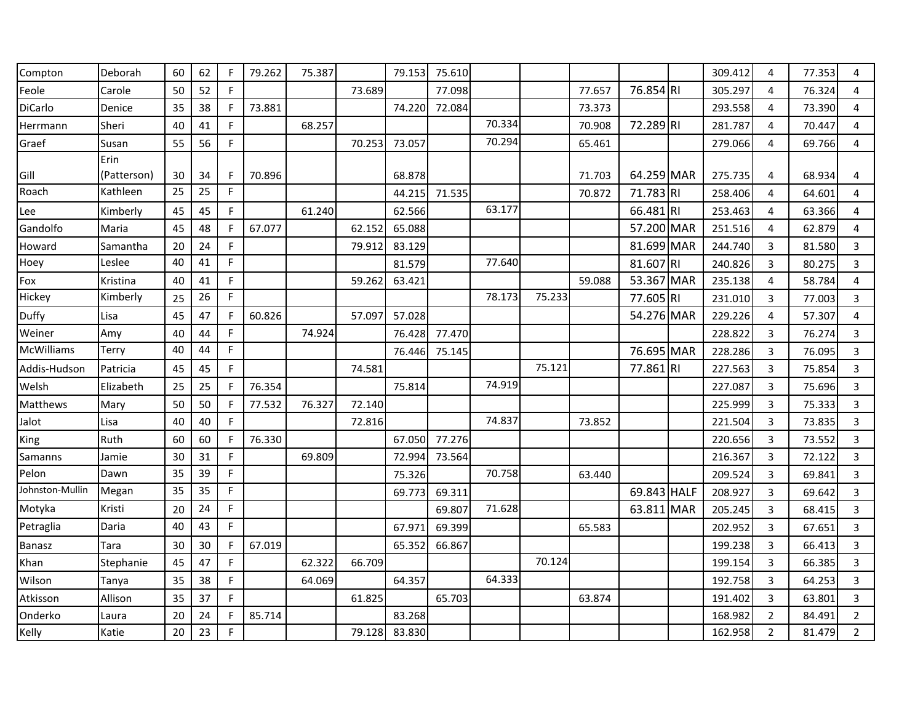| Compton         | Deborah     | 60 | 62 | F            | 79.262 | 75.387 |        | 79.153 | 75.610 |        |        |        |             |            | 309.412 | 4              | 77.353 | 4              |
|-----------------|-------------|----|----|--------------|--------|--------|--------|--------|--------|--------|--------|--------|-------------|------------|---------|----------------|--------|----------------|
| Feole           | Carole      | 50 | 52 | F            |        |        | 73.689 |        | 77.098 |        |        | 77.657 | 76.854 RI   |            | 305.297 | 4              | 76.324 | 4              |
| DiCarlo         | Denice      | 35 | 38 | F            | 73.881 |        |        | 74.220 | 72.084 |        |        | 73.373 |             |            | 293.558 | 4              | 73.390 | 4              |
| Herrmann        | Sheri       | 40 | 41 | F            |        | 68.257 |        |        |        | 70.334 |        | 70.908 | 72.289RI    |            | 281.787 | 4              | 70.447 | 4              |
| Graef           | Susan       | 55 | 56 | F            |        |        | 70.253 | 73.057 |        | 70.294 |        | 65.461 |             |            | 279.066 | 4              | 69.766 | 4              |
|                 | Erin        |    |    |              |        |        |        |        |        |        |        |        |             |            |         |                |        |                |
| Gill            | (Patterson) | 30 | 34 | F            | 70.896 |        |        | 68.878 |        |        |        | 71.703 | 64.259 MAR  |            | 275.735 | 4              | 68.934 | 4              |
| Roach           | Kathleen    | 25 | 25 | F            |        |        |        | 44.215 | 71.535 |        |        | 70.872 | 71.783 RI   |            | 258.406 | $\overline{4}$ | 64.601 | 4              |
| Lee             | Kimberly    | 45 | 45 | F            |        | 61.240 |        | 62.566 |        | 63.177 |        |        | 66.481 RI   |            | 253.463 | 4              | 63.366 | 4              |
| Gandolfo        | Maria       | 45 | 48 | F            | 67.077 |        | 62.152 | 65.088 |        |        |        |        | 57.200 MAR  |            | 251.516 | 4              | 62.879 | 4              |
| Howard          | Samantha    | 20 | 24 | F            |        |        | 79.912 | 83.129 |        |        |        |        | 81.699 MAR  |            | 244.740 | 3              | 81.580 | $\overline{3}$ |
| Hoey            | Leslee      | 40 | 41 | F            |        |        |        | 81.579 |        | 77.640 |        |        | 81.607 RI   |            | 240.826 | 3              | 80.275 | 3              |
| Fox             | Kristina    | 40 | 41 | F            |        |        | 59.262 | 63.421 |        |        |        | 59.088 | 53.367 MAR  |            | 235.138 | 4              | 58.784 | 4              |
| Hickey          | Kimberly    | 25 | 26 | F            |        |        |        |        |        | 78.173 | 75.233 |        | 77.605 RI   |            | 231.010 | 3              | 77.003 | 3              |
| Duffy           | Lisa        | 45 | 47 | F            | 60.826 |        | 57.097 | 57.028 |        |        |        |        | 54.276 MAR  |            | 229.226 | 4              | 57.307 | 4              |
| Weiner          | Amy         | 40 | 44 | F            |        | 74.924 |        | 76.428 | 77.470 |        |        |        |             |            | 228.822 | 3              | 76.274 | $\overline{3}$ |
| McWilliams      | Terry       | 40 | 44 | F            |        |        |        | 76.446 | 75.145 |        |        |        | 76.695 MAR  |            | 228.286 | 3              | 76.095 | 3              |
| Addis-Hudson    | Patricia    | 45 | 45 | F            |        |        | 74.581 |        |        |        | 75.121 |        | 77.861 RI   |            | 227.563 | 3              | 75.854 | $\overline{3}$ |
| Welsh           | Elizabeth   | 25 | 25 | $\mathsf{F}$ | 76.354 |        |        | 75.814 |        | 74.919 |        |        |             |            | 227.087 | 3              | 75.696 | 3              |
| Matthews        | Mary        | 50 | 50 | F            | 77.532 | 76.327 | 72.140 |        |        |        |        |        |             |            | 225.999 | 3              | 75.333 | $\overline{3}$ |
| Jalot           | Lisa        | 40 | 40 | F            |        |        | 72.816 |        |        | 74.837 |        | 73.852 |             |            | 221.504 | 3              | 73.835 | $\overline{3}$ |
| King            | Ruth        | 60 | 60 | F            | 76.330 |        |        | 67.050 | 77.276 |        |        |        |             |            | 220.656 | 3              | 73.552 | $\overline{3}$ |
| Samanns         | Jamie       | 30 | 31 | E            |        | 69.809 |        | 72.994 | 73.564 |        |        |        |             |            | 216.367 | 3              | 72.122 | 3              |
| Pelon           | Dawn        | 35 | 39 | $\mathsf F$  |        |        |        | 75.326 |        | 70.758 |        | 63.440 |             |            | 209.524 | 3              | 69.841 | 3              |
| Johnston-Mullin | Megan       | 35 | 35 | $\mathsf F$  |        |        |        | 69.773 | 69.311 |        |        |        | 69.843 HALF |            | 208.927 | 3              | 69.642 | $\overline{3}$ |
| Motyka          | Kristi      | 20 | 24 | $\mathsf F$  |        |        |        |        | 69.807 | 71.628 |        |        | 63.811      | <b>MAR</b> | 205.245 | 3              | 68.415 | 3              |
| Petraglia       | Daria       | 40 | 43 | E            |        |        |        | 67.971 | 69.399 |        |        | 65.583 |             |            | 202.952 | 3              | 67.651 | $\overline{3}$ |
| <b>Banasz</b>   | Tara        | 30 | 30 | F            | 67.019 |        |        | 65.352 | 66.867 |        |        |        |             |            | 199.238 | 3              | 66.413 | $\overline{3}$ |
| Khan            | Stephanie   | 45 | 47 | F            |        | 62.322 | 66.709 |        |        |        | 70.124 |        |             |            | 199.154 | 3              | 66.385 | $\overline{3}$ |
| Wilson          | Tanya       | 35 | 38 | $\mathsf F$  |        | 64.069 |        | 64.357 |        | 64.333 |        |        |             |            | 192.758 | 3              | 64.253 | 3              |
| Atkisson        | Allison     | 35 | 37 | F            |        |        | 61.825 |        | 65.703 |        |        | 63.874 |             |            | 191.402 | 3              | 63.801 | 3              |
| Onderko         | Laura       | 20 | 24 | F            | 85.714 |        |        | 83.268 |        |        |        |        |             |            | 168.982 | $\overline{2}$ | 84.491 | $\overline{2}$ |
| Kelly           | Katie       | 20 | 23 | $\mathsf F$  |        |        | 79.128 | 83.830 |        |        |        |        |             |            | 162.958 | $\overline{2}$ | 81.479 | $\overline{2}$ |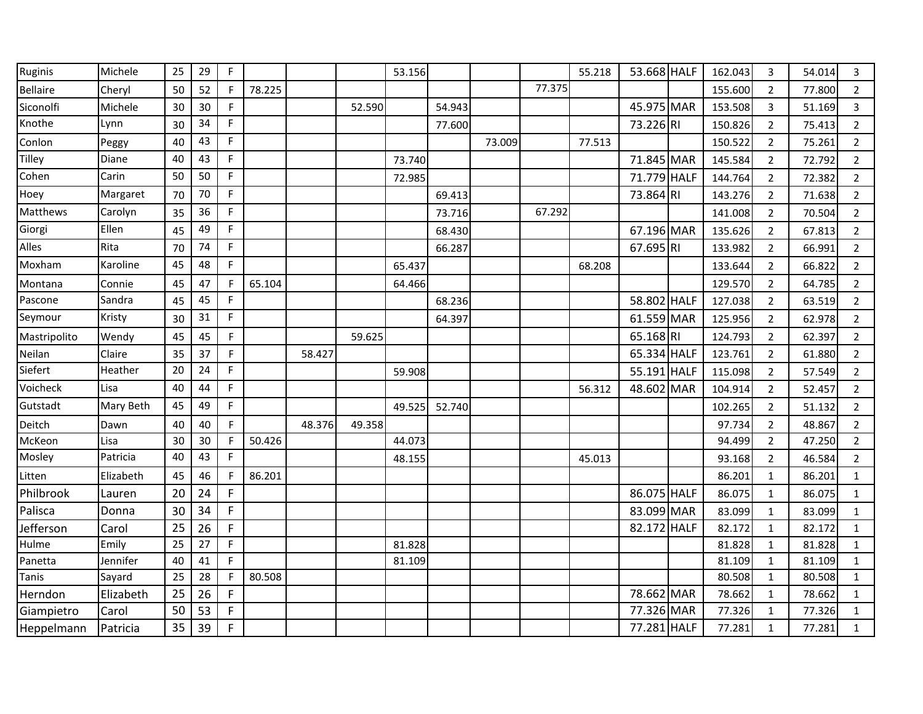| Ruginis         | Michele   | 25 | 29 | $\mathsf F$  |        |        |        | 53.156 |        |        |        | 55.218 | 53.668 HALF |             | 162.043 | 3              | 54.014 | 3              |
|-----------------|-----------|----|----|--------------|--------|--------|--------|--------|--------|--------|--------|--------|-------------|-------------|---------|----------------|--------|----------------|
| <b>Bellaire</b> | Cheryl    | 50 | 52 | F            | 78.225 |        |        |        |        |        | 77.375 |        |             |             | 155.600 | $\overline{2}$ | 77.800 | $\overline{2}$ |
| Siconolfi       | Michele   | 30 | 30 | F            |        |        | 52.590 |        | 54.943 |        |        |        | 45.975 MAR  |             | 153.508 | 3              | 51.169 | 3              |
| Knothe          | Lynn      | 30 | 34 | F            |        |        |        |        | 77.600 |        |        |        | 73.226 RI   |             | 150.826 | $\overline{2}$ | 75.413 | $\overline{2}$ |
| Conlon          | Peggy     | 40 | 43 | $\mathsf F$  |        |        |        |        |        | 73.009 |        | 77.513 |             |             | 150.522 | $\overline{2}$ | 75.261 | $\overline{2}$ |
| Tilley          | Diane     | 40 | 43 | $\mathsf F$  |        |        |        | 73.740 |        |        |        |        | 71.845 MAR  |             | 145.584 | $\overline{2}$ | 72.792 | $\overline{2}$ |
| Cohen           | Carin     | 50 | 50 | E            |        |        |        | 72.985 |        |        |        |        | 71.779 HALF |             | 144.764 | $\overline{2}$ | 72.382 | $\overline{2}$ |
| Hoey            | Margaret  | 70 | 70 | $\mathsf F$  |        |        |        |        | 69.413 |        |        |        | 73.864 RI   |             | 143.276 | $\overline{2}$ | 71.638 | $\overline{2}$ |
| Matthews        | Carolyn   | 35 | 36 | F            |        |        |        |        | 73.716 |        | 67.292 |        |             |             | 141.008 | $\overline{2}$ | 70.504 | $\overline{2}$ |
| Giorgi          | Ellen     | 45 | 49 | $\mathsf F$  |        |        |        |        | 68.430 |        |        |        | 67.196 MAR  |             | 135.626 | $\overline{2}$ | 67.813 | $\overline{2}$ |
| Alles           | Rita      | 70 | 74 | $\mathsf F$  |        |        |        |        | 66.287 |        |        |        | 67.695 RI   |             | 133.982 | $\overline{2}$ | 66.991 | $\overline{2}$ |
| Moxham          | Karoline  | 45 | 48 | F            |        |        |        | 65.437 |        |        |        | 68.208 |             |             | 133.644 | $\overline{2}$ | 66.822 | $\overline{2}$ |
| Montana         | Connie    | 45 | 47 | $\mathsf{F}$ | 65.104 |        |        | 64.466 |        |        |        |        |             |             | 129.570 | $\overline{2}$ | 64.785 | $\overline{2}$ |
| Pascone         | Sandra    | 45 | 45 | F            |        |        |        |        | 68.236 |        |        |        | 58.802 HALF |             | 127.038 | $\overline{2}$ | 63.519 | $\overline{2}$ |
| Seymour         | Kristy    | 30 | 31 | F            |        |        |        |        | 64.397 |        |        |        | 61.559 MAR  |             | 125.956 | $\overline{2}$ | 62.978 | $\overline{2}$ |
| Mastripolito    | Wendy     | 45 | 45 | F            |        |        | 59.625 |        |        |        |        |        | 65.168 RI   |             | 124.793 | $\overline{2}$ | 62.397 | $\overline{2}$ |
| Neilan          | Claire    | 35 | 37 | F            |        | 58.427 |        |        |        |        |        |        | 65.334 HALF |             | 123.761 | $\overline{2}$ | 61.880 | $\overline{2}$ |
| Siefert         | Heather   | 20 | 24 | F            |        |        |        | 59.908 |        |        |        |        | 55.191 HALF |             | 115.098 | $\overline{2}$ | 57.549 | $\overline{2}$ |
| Voicheck        | Lisa      | 40 | 44 | F            |        |        |        |        |        |        |        | 56.312 | 48.602 MAR  |             | 104.914 | $\overline{2}$ | 52.457 | $\overline{2}$ |
| Gutstadt        | Mary Beth | 45 | 49 | $\mathsf F$  |        |        |        | 49.525 | 52.740 |        |        |        |             |             | 102.265 | $\overline{2}$ | 51.132 | $\overline{2}$ |
| Deitch          | Dawn      | 40 | 40 | F            |        | 48.376 | 49.358 |        |        |        |        |        |             |             | 97.734  | $\overline{2}$ | 48.867 | $\overline{2}$ |
| McKeon          | Lisa      | 30 | 30 | F            | 50.426 |        |        | 44.073 |        |        |        |        |             |             | 94.499  | $\overline{2}$ | 47.250 | $\overline{2}$ |
| Mosley          | Patricia  | 40 | 43 | F            |        |        |        | 48.155 |        |        |        | 45.013 |             |             | 93.168  | $\overline{2}$ | 46.584 | $\overline{2}$ |
| Litten          | Elizabeth | 45 | 46 | F            | 86.201 |        |        |        |        |        |        |        |             |             | 86.201  | $\mathbf{1}$   | 86.201 | $\mathbf{1}$   |
| Philbrook       | Lauren    | 20 | 24 | F            |        |        |        |        |        |        |        |        | 86.075 HALF |             | 86.075  | $\mathbf{1}$   | 86.075 | $\mathbf{1}$   |
| Palisca         | Donna     | 30 | 34 | F            |        |        |        |        |        |        |        |        | 83.099 MAR  |             | 83.099  | 1              | 83.099 | $\mathbf{1}$   |
| Jefferson       | Carol     | 25 | 26 | $\mathsf F$  |        |        |        |        |        |        |        |        | 82.172      | <b>HALF</b> | 82.172  | 1              | 82.172 | 1              |
| Hulme           | Emily     | 25 | 27 | $\mathsf F$  |        |        |        | 81.828 |        |        |        |        |             |             | 81.828  | $\mathbf{1}$   | 81.828 | $\mathbf{1}$   |
| Panetta         | Jennifer  | 40 | 41 | F            |        |        |        | 81.109 |        |        |        |        |             |             | 81.109  | $\mathbf{1}$   | 81.109 | $\mathbf{1}$   |
| Tanis           | Sayard    | 25 | 28 | F            | 80.508 |        |        |        |        |        |        |        |             |             | 80.508  | $\mathbf{1}$   | 80.508 | $\mathbf 1$    |
| Herndon         | Elizabeth | 25 | 26 | F            |        |        |        |        |        |        |        |        | 78.662 MAR  |             | 78.662  | 1              | 78.662 | $\mathbf{1}$   |
| Giampietro      | Carol     | 50 | 53 | $\mathsf F$  |        |        |        |        |        |        |        |        | 77.326 MAR  |             | 77.326  | $\mathbf{1}$   | 77.326 | $\mathbf{1}$   |
| Heppelmann      | Patricia  | 35 | 39 | $\mathsf F$  |        |        |        |        |        |        |        |        | 77.281 HALF |             | 77.281  | 1              | 77.281 | $\mathbf{1}$   |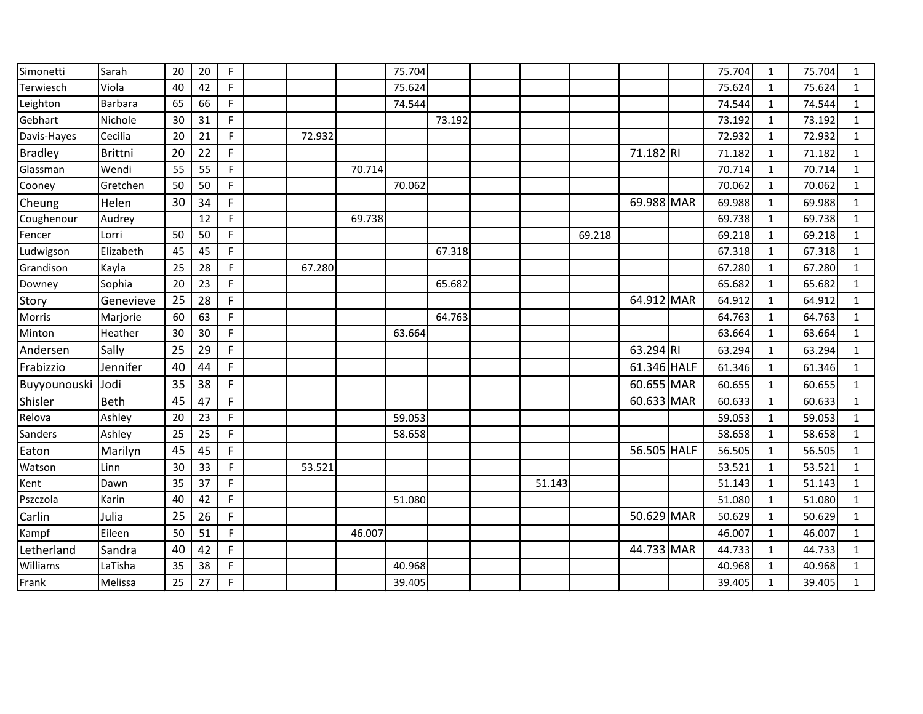| Simonetti      | Sarah          | 20 | 20 | F            |        |        | 75.704 |        |        |        |             | 75.704 | 1            | 75.704 | $\mathbf{1}$ |
|----------------|----------------|----|----|--------------|--------|--------|--------|--------|--------|--------|-------------|--------|--------------|--------|--------------|
| Terwiesch      | Viola          | 40 | 42 | F            |        |        | 75.624 |        |        |        |             | 75.624 | $\mathbf{1}$ | 75.624 | $\mathbf{1}$ |
| Leighton       | <b>Barbara</b> | 65 | 66 | F            |        |        | 74.544 |        |        |        |             | 74.544 | $\mathbf{1}$ | 74.544 | $\mathbf{1}$ |
| Gebhart        | Nichole        | 30 | 31 | F            |        |        |        | 73.192 |        |        |             | 73.192 | $\mathbf{1}$ | 73.192 | $\mathbf{1}$ |
| Davis-Hayes    | Cecilia        | 20 | 21 | F            | 72.932 |        |        |        |        |        |             | 72.932 | 1            | 72.932 | $\mathbf{1}$ |
| <b>Bradley</b> | <b>Brittni</b> | 20 | 22 | $\mathsf F$  |        |        |        |        |        |        | 71.182 RI   | 71.182 | $\mathbf 1$  | 71.182 | $\mathbf{1}$ |
| Glassman       | Wendi          | 55 | 55 | $\mathsf F$  |        | 70.714 |        |        |        |        |             | 70.714 | $\mathbf{1}$ | 70.714 | $\mathbf{1}$ |
| Cooney         | Gretchen       | 50 | 50 | F            |        |        | 70.062 |        |        |        |             | 70.062 | $\mathbf{1}$ | 70.062 | $\mathbf{1}$ |
| Cheung         | Helen          | 30 | 34 | F            |        |        |        |        |        |        | 69.988 MAR  | 69.988 | 1            | 69.988 | $\mathbf{1}$ |
| Coughenour     | Audrey         |    | 12 | F            |        | 69.738 |        |        |        |        |             | 69.738 | $\mathbf{1}$ | 69.738 | $\mathbf{1}$ |
| Fencer         | Lorri          | 50 | 50 | F            |        |        |        |        |        | 69.218 |             | 69.218 | $\mathbf{1}$ | 69.218 | $\mathbf{1}$ |
| Ludwigson      | Elizabeth      | 45 | 45 | E            |        |        |        | 67.318 |        |        |             | 67.318 | $\mathbf{1}$ | 67.318 | $\mathbf{1}$ |
| Grandison      | Kayla          | 25 | 28 | F            | 67.280 |        |        |        |        |        |             | 67.280 | 1            | 67.280 | $\mathbf{1}$ |
| Downey         | Sophia         | 20 | 23 | F            |        |        |        | 65.682 |        |        |             | 65.682 | 1            | 65.682 | $\mathbf{1}$ |
| Story          | Genevieve      | 25 | 28 | F            |        |        |        |        |        |        | 64.912 MAR  | 64.912 | $\mathbf{1}$ | 64.912 | $\mathbf{1}$ |
| Morris         | Marjorie       | 60 | 63 | F            |        |        |        | 64.763 |        |        |             | 64.763 | $\mathbf{1}$ | 64.763 | $\mathbf{1}$ |
| Minton         | Heather        | 30 | 30 | F            |        |        | 63.664 |        |        |        |             | 63.664 | 1            | 63.664 | $\mathbf{1}$ |
| Andersen       | Sally          | 25 | 29 | $\mathsf{F}$ |        |        |        |        |        |        | 63.294 RI   | 63.294 | $\mathbf{1}$ | 63.294 | $\mathbf{1}$ |
| Frabizzio      | Jennifer       | 40 | 44 | F            |        |        |        |        |        |        | 61.346 HALF | 61.346 | $\mathbf{1}$ | 61.346 | $\mathbf{1}$ |
| Buyyounouski   | Jodi           | 35 | 38 | F            |        |        |        |        |        |        | 60.655 MAR  | 60.655 | $\mathbf{1}$ | 60.655 | $\mathbf{1}$ |
| Shisler        | <b>Beth</b>    | 45 | 47 | F            |        |        |        |        |        |        | 60.633 MAR  | 60.633 | 1            | 60.633 | $\mathbf{1}$ |
| Relova         | Ashley         | 20 | 23 | F            |        |        | 59.053 |        |        |        |             | 59.053 | $\mathbf 1$  | 59.053 | $\mathbf{1}$ |
| Sanders        | Ashley         | 25 | 25 | F            |        |        | 58.658 |        |        |        |             | 58.658 | $\mathbf{1}$ | 58.658 | $\mathbf{1}$ |
| Eaton          | Marilyn        | 45 | 45 | F            |        |        |        |        |        |        | 56.505 HALF | 56.505 | $\mathbf{1}$ | 56.505 | $\mathbf{1}$ |
| Watson         | Linn           | 30 | 33 | F            | 53.521 |        |        |        |        |        |             | 53.521 | 1            | 53.521 | $\mathbf{1}$ |
| Kent           | Dawn           | 35 | 37 | $\mathsf F$  |        |        |        |        | 51.143 |        |             | 51.143 | $\mathbf{1}$ | 51.143 | $\mathbf{1}$ |
| Pszczola       | Karin          | 40 | 42 | F            |        |        | 51.080 |        |        |        |             | 51.080 | $\mathbf{1}$ | 51.080 | $\mathbf{1}$ |
| Carlin         | Julia          | 25 | 26 | F            |        |        |        |        |        |        | 50.629 MAR  | 50.629 | $\mathbf{1}$ | 50.629 | $\mathbf{1}$ |
| Kampf          | Eileen         | 50 | 51 | F            |        | 46.007 |        |        |        |        |             | 46.007 | $\mathbf{1}$ | 46.007 | $\mathbf{1}$ |
| Letherland     | Sandra         | 40 | 42 | F            |        |        |        |        |        |        | 44.733 MAR  | 44.733 | $\mathbf{1}$ | 44.733 | $\mathbf{1}$ |
| Williams       | LaTisha        | 35 | 38 | $\mathsf F$  |        |        | 40.968 |        |        |        |             | 40.968 | $\mathbf{1}$ | 40.968 | $\mathbf{1}$ |
| Frank          | Melissa        | 25 | 27 | $\mathsf{F}$ |        |        | 39.405 |        |        |        |             | 39.405 | $\mathbf{1}$ | 39.405 | $\mathbf{1}$ |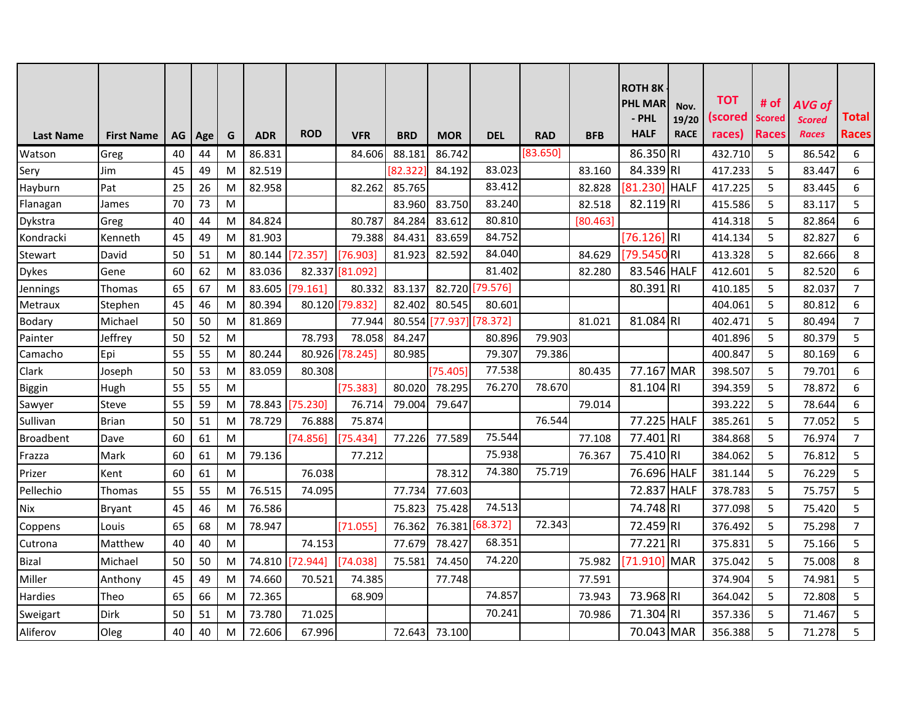| <b>Last Name</b> | <b>First Name</b> | AG | Age | G | <b>ADR</b> | <b>ROD</b> | <b>VFR</b>      | <b>BRD</b> | <b>MOR</b> | <b>DEL</b>      | <b>RAD</b> | <b>BFB</b> | <b>ROTH 8K</b><br><b>PHL MAR</b><br>- PHL<br><b>HALF</b> | Nov.<br>19/20<br><b>RACE</b> | <b>TOT</b><br><b>scored</b><br>races) | # of<br><b>Scored</b><br><b>Races</b> | AVG of<br><b>Scored</b><br><b>Races</b> | Total<br>Races |
|------------------|-------------------|----|-----|---|------------|------------|-----------------|------------|------------|-----------------|------------|------------|----------------------------------------------------------|------------------------------|---------------------------------------|---------------------------------------|-----------------------------------------|----------------|
| Watson           | Greg              | 40 | 44  | M | 86.831     |            | 84.606          | 88.181     | 86.742     |                 | [83.650]   |            | 86.350 RI                                                |                              | 432.710                               | 5                                     | 86.542                                  | 6              |
| Sery             | Jim               | 45 | 49  | M | 82.519     |            |                 | [82.322]   | 84.192     | 83.023          |            | 83.160     | 84.339 RI                                                |                              | 417.233                               | 5                                     | 83.447                                  | 6              |
| Hayburn          | Pat               | 25 | 26  | M | 82.958     |            | 82.262          | 85.765     |            | 83.412          |            | 82.828     | [81.230]                                                 | <b>HALF</b>                  | 417.225                               | 5                                     | 83.445                                  | 6              |
| Flanagan         | James             | 70 | 73  | M |            |            |                 | 83.960     | 83.750     | 83.240          |            | 82.518     | 82.119RI                                                 |                              | 415.586                               | 5                                     | 83.117                                  | 5              |
| Dykstra          | Greg              | 40 | 44  | M | 84.824     |            | 80.787          | 84.284     | 83.612     | 80.810          |            | [80.463]   |                                                          |                              | 414.318                               | 5                                     | 82.864                                  | 6              |
| Kondracki        | Kenneth           | 45 | 49  | M | 81.903     |            | 79.388          | 84.431     | 83.659     | 84.752          |            |            | $[76.126]$ RI                                            |                              | 414.134                               | 5                                     | 82.827                                  | 6              |
| Stewart          | David             | 50 | 51  | M | 80.144     | [72.357]   | [76.903]        | 81.923     | 82.592     | 84.040          |            | 84.629     | [79.5450 RI                                              |                              | 413.328                               | 5                                     | 82.666                                  | 8              |
| <b>Dykes</b>     | Gene              | 60 | 62  | M | 83.036     |            | 82.337 [81.092] |            |            | 81.402          |            | 82.280     | 83.546 HALF                                              |                              | 412.601                               | 5                                     | 82.520                                  | 6              |
| Jennings         | Thomas            | 65 | 67  | M | 83.605     | [79.161]   | 80.332          | 83.137     |            | 82.720 [79.576] |            |            | 80.391 RI                                                |                              | 410.185                               | 5                                     | 82.037                                  | $\overline{7}$ |
| Metraux          | Stephen           | 45 | 46  | M | 80.394     |            | 80.120 79.832   | 82.402     | 80.545     | 80.601          |            |            |                                                          |                              | 404.061                               | 5                                     | 80.812                                  | 6              |
| Bodary           | Michael           | 50 | 50  | M | 81.869     |            | 77.944          | 80.554     | 77.937     | [78.372]        |            | 81.021     | 81.084 RI                                                |                              | 402.471                               | 5                                     | 80.494                                  | $\overline{7}$ |
| Painter          | Jeffrey           | 50 | 52  | M |            | 78.793     | 78.058          | 84.247     |            | 80.896          | 79.903     |            |                                                          |                              | 401.896                               | 5                                     | 80.379                                  | 5              |
| Camacho          | Epi               | 55 | 55  | M | 80.244     |            | 80.926 [78.245] | 80.985     |            | 79.307          | 79.386     |            |                                                          |                              | 400.847                               | 5                                     | 80.169                                  | 6              |
| Clark            | Joseph            | 50 | 53  | M | 83.059     | 80.308     |                 |            | [75.405]   | 77.538          |            | 80.435     | 77.167 MAR                                               |                              | 398.507                               | 5                                     | 79.701                                  | 6              |
| <b>Biggin</b>    | Hugh              | 55 | 55  | M |            |            | [75.383]        | 80.020     | 78.295     | 76.270          | 78.670     |            | 81.104 RI                                                |                              | 394.359                               | 5                                     | 78.872                                  | 6              |
| Sawyer           | Steve             | 55 | 59  | M | 78.843     | [75.230]   | 76.714          | 79.004     | 79.647     |                 |            | 79.014     |                                                          |                              | 393.222                               | 5                                     | 78.644                                  | 6              |
| Sullivan         | <b>Brian</b>      | 50 | 51  | M | 78.729     | 76.888     | 75.874          |            |            |                 | 76.544     |            | 77.225 HALF                                              |                              | 385.261                               | 5                                     | 77.052                                  | 5              |
| <b>Broadbent</b> | Dave              | 60 | 61  | M |            | [74.856]   | [75.434]        | 77.226     | 77.589     | 75.544          |            | 77.108     | 77.401                                                   | .lrı                         | 384.868                               | 5                                     | 76.974                                  | $\overline{7}$ |
| Frazza           | Mark              | 60 | 61  | M | 79.136     |            | 77.212          |            |            | 75.938          |            | 76.367     | 75.410 RI                                                |                              | 384.062                               | 5                                     | 76.812                                  | 5              |
| Prizer           | Kent              | 60 | 61  | M |            | 76.038     |                 |            | 78.312     | 74.380          | 75.719     |            | 76.696 HALF                                              |                              | 381.144                               | 5                                     | 76.229                                  | 5              |
| Pellechio        | Thomas            | 55 | 55  | M | 76.515     | 74.095     |                 | 77.734     | 77.603     |                 |            |            | 72.837 HALF                                              |                              | 378.783                               | 5                                     | 75.757                                  | 5              |
| Nix              | <b>Bryant</b>     | 45 | 46  | M | 76.586     |            |                 | 75.823     | 75.428     | 74.513          |            |            | 74.748 RI                                                |                              | 377.098                               | 5                                     | 75.420                                  | 5              |
| Coppens          | Louis             | 65 | 68  | M | 78.947     |            | [71.055]        | 76.362     |            | 76.381 [68.372] | 72.343     |            | 72.459 RI                                                |                              | 376.492                               | 5                                     | 75.298                                  | $\overline{7}$ |
| Cutrona          | Matthew           | 40 | 40  | M |            | 74.153     |                 | 77.679     | 78.427     | 68.351          |            |            | 77.221RI                                                 |                              | 375.831                               | 5                                     | 75.166                                  | 5              |
| <b>Bizal</b>     | Michael           | 50 | 50  | M | 74.810     | [72.944]   | [74.038]        | 75.581     | 74.450     | 74.220          |            | 75.982     | [71.910]                                                 | <b>MAR</b>                   | 375.042                               | 5                                     | 75.008                                  | 8              |
| Miller           | Anthony           | 45 | 49  | M | 74.660     | 70.521     | 74.385          |            | 77.748     |                 |            | 77.591     |                                                          |                              | 374.904                               | 5                                     | 74.981                                  | 5              |
| Hardies          | Theo              | 65 | 66  | M | 72.365     |            | 68.909          |            |            | 74.857          |            | 73.943     | 73.968 RI                                                |                              | 364.042                               | 5                                     | 72.808                                  | 5              |
| Sweigart         | Dirk              | 50 | 51  | M | 73.780     | 71.025     |                 |            |            | 70.241          |            | 70.986     | 71.304 RI                                                |                              | 357.336                               | 5                                     | 71.467                                  | 5              |
| Aliferov         | Oleg              | 40 | 40  | M | 72.606     | 67.996     |                 | 72.643     | 73.100     |                 |            |            | 70.043 MAR                                               |                              | 356.388                               | 5                                     | 71.278                                  | 5              |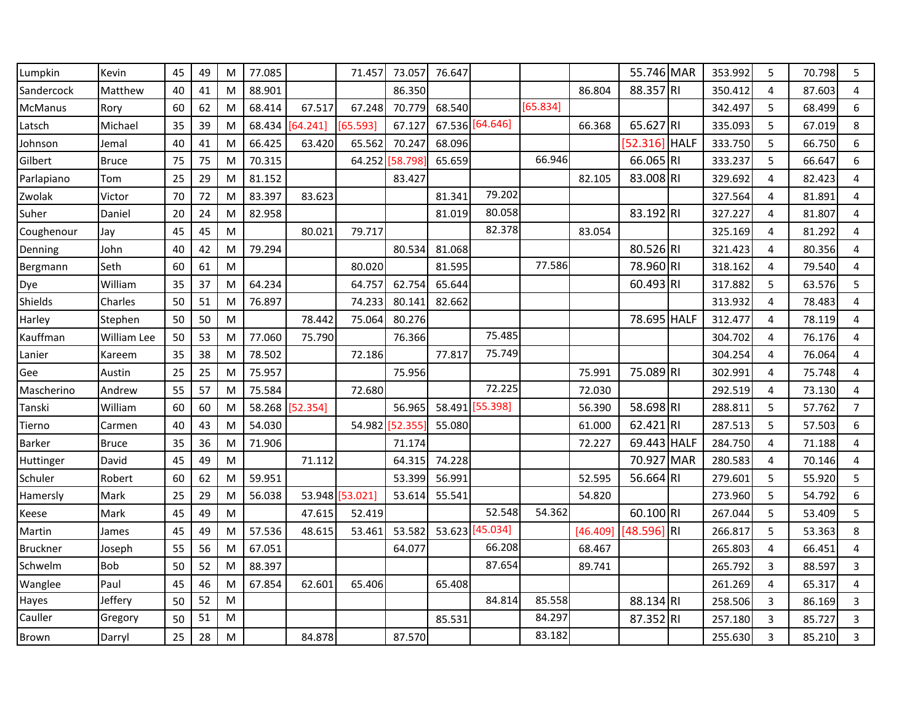| Lumpkin        | Kevin        | 45 | 49 | M | 77.085 |          | 71.457        | 73.057 | 76.647 |                 |          |          | 55.746 MAR  |             | 353.992 | 5              | 70.798 | 5              |
|----------------|--------------|----|----|---|--------|----------|---------------|--------|--------|-----------------|----------|----------|-------------|-------------|---------|----------------|--------|----------------|
| Sandercock     | Matthew      | 40 | 41 | M | 88.901 |          |               | 86.350 |        |                 |          | 86.804   | 88.357 RI   |             | 350.412 | $\overline{4}$ | 87.603 | 4              |
| <b>McManus</b> | Rory         | 60 | 62 | M | 68.414 | 67.517   | 67.248        | 70.779 | 68.540 |                 | [65.834] |          |             |             | 342.497 | 5              | 68.499 | 6              |
| Latsch         | Michael      | 35 | 39 | M | 68.434 | [64.241] | [65.593]      | 67.127 |        | 67.536 [64.646] |          | 66.368   | 65.627 RI   |             | 335.093 | 5              | 67.019 | 8              |
| Johnson        | Jemal        | 40 | 41 | M | 66.425 | 63.420   | 65.562        | 70.247 | 68.096 |                 |          |          | 52.316      | <b>HALF</b> | 333.750 | 5              | 66.750 | 6              |
| Gilbert        | <b>Bruce</b> | 75 | 75 | M | 70.315 |          | 64.252        | 58.798 | 65.659 |                 | 66.946   |          | 66.065 RI   |             | 333.237 | 5              | 66.647 | 6              |
| Parlapiano     | Tom          | 25 | 29 | M | 81.152 |          |               | 83.427 |        |                 |          | 82.105   | 83.008 RI   |             | 329.692 | 4              | 82.423 | 4              |
| Zwolak         | Victor       | 70 | 72 | M | 83.397 | 83.623   |               |        | 81.341 | 79.202          |          |          |             |             | 327.564 | 4              | 81.891 | 4              |
| Suher          | Daniel       | 20 | 24 | M | 82.958 |          |               |        | 81.019 | 80.058          |          |          | 83.192 RI   |             | 327.227 | 4              | 81.807 | 4              |
| Coughenour     | Jay          | 45 | 45 | M |        | 80.021   | 79.717        |        |        | 82.378          |          | 83.054   |             |             | 325.169 | 4              | 81.292 | 4              |
| Denning        | John         | 40 | 42 | M | 79.294 |          |               | 80.534 | 81.068 |                 |          |          | 80.526 RI   |             | 321.423 | 4              | 80.356 | 4              |
| Bergmann       | Seth         | 60 | 61 | M |        |          | 80.020        |        | 81.595 |                 | 77.586   |          | 78.960 RI   |             | 318.162 | 4              | 79.540 | 4              |
| Dye            | William      | 35 | 37 | M | 64.234 |          | 64.757        | 62.754 | 65.644 |                 |          |          | 60.493 RI   |             | 317.882 | 5              | 63.576 | 5              |
| Shields        | Charles      | 50 | 51 | M | 76.897 |          | 74.233        | 80.141 | 82.662 |                 |          |          |             |             | 313.932 | $\overline{4}$ | 78.483 | 4              |
| Harley         | Stephen      | 50 | 50 | M |        | 78.442   | 75.064        | 80.276 |        |                 |          |          | 78.695 HALF |             | 312.477 | 4              | 78.119 | 4              |
| Kauffman       | William Lee  | 50 | 53 | M | 77.060 | 75.790   |               | 76.366 |        | 75.485          |          |          |             |             | 304.702 | 4              | 76.176 | 4              |
| Lanier         | Kareem       | 35 | 38 | M | 78.502 |          | 72.186        |        | 77.817 | 75.749          |          |          |             |             | 304.254 | 4              | 76.064 | 4              |
| Gee            | Austin       | 25 | 25 | M | 75.957 |          |               | 75.956 |        |                 |          | 75.991   | 75.089 RI   |             | 302.991 | $\overline{4}$ | 75.748 | 4              |
| Mascherino     | Andrew       | 55 | 57 | M | 75.584 |          | 72.680        |        |        | 72.225          |          | 72.030   |             |             | 292.519 | 4              | 73.130 | 4              |
| Tanski         | William      | 60 | 60 | M | 58.268 | [52.354] |               | 56.965 | 58.491 | [55.398]        |          | 56.390   | 58.698 RI   |             | 288.811 | 5              | 57.762 | $\overline{7}$ |
| Tierno         | Carmen       | 40 | 43 | M | 54.030 |          | 54.982        | 52.355 | 55.080 |                 |          | 61.000   | 62.421RI    |             | 287.513 | 5              | 57.503 | 6              |
| Barker         | <b>Bruce</b> | 35 | 36 | M | 71.906 |          |               | 71.174 |        |                 |          | 72.227   | 69.443 HALF |             | 284.750 | $\overline{4}$ | 71.188 | 4              |
| Huttinger      | David        | 45 | 49 | M |        | 71.112   |               | 64.315 | 74.228 |                 |          |          | 70.927 MAR  |             | 280.583 | $\overline{4}$ | 70.146 | 4              |
| Schuler        | Robert       | 60 | 62 | M | 59.951 |          |               | 53.399 | 56.991 |                 |          | 52.595   | 56.664 RI   |             | 279.601 | 5              | 55.920 | 5              |
| Hamersly       | Mark         | 25 | 29 | M | 56.038 |          | 53.948 53.021 | 53.614 | 55.541 |                 |          | 54.820   |             |             | 273.960 | 5              | 54.792 | 6              |
| Keese          | Mark         | 45 | 49 | M |        | 47.615   | 52.419        |        |        | 52.548          | 54.362   |          | 60.100 RI   |             | 267.044 | 5              | 53.409 | 5              |
| Martin         | James        | 45 | 49 | M | 57.536 | 48.615   | 53.461        | 53.582 | 53.623 | [45.034]        |          | [46.409] | [48.596]    | <b>RI</b>   | 266.817 | 5              | 53.363 | 8              |
| Bruckner       | Joseph       | 55 | 56 | M | 67.051 |          |               | 64.077 |        | 66.208          |          | 68.467   |             |             | 265.803 | 4              | 66.451 | 4              |
| Schwelm        | <b>Bob</b>   | 50 | 52 | M | 88.397 |          |               |        |        | 87.654          |          | 89.741   |             |             | 265.792 | 3              | 88.597 | 3              |
| Wanglee        | Paul         | 45 | 46 | M | 67.854 | 62.601   | 65.406        |        | 65.408 |                 |          |          |             |             | 261.269 | 4              | 65.317 | 4              |
| Hayes          | Jeffery      | 50 | 52 | M |        |          |               |        |        | 84.814          | 85.558   |          | 88.134 RI   |             | 258.506 | 3              | 86.169 | 3              |
| Cauller        | Gregory      | 50 | 51 | M |        |          |               |        | 85.531 |                 | 84.297   |          | 87.352 RI   |             | 257.180 | 3              | 85.727 | 3              |
| Brown          | Darryl       | 25 | 28 | M |        | 84.878   |               | 87.570 |        |                 | 83.182   |          |             |             | 255.630 | 3              | 85.210 | 3              |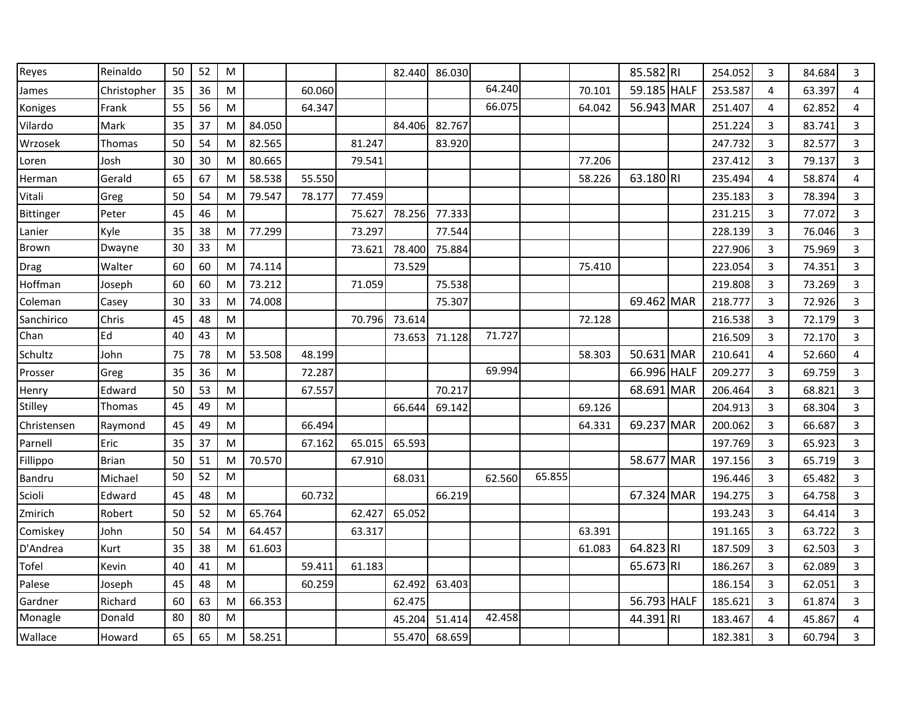| Reyes       | Reinaldo     | 50 | 52 | M |        |        |        | 82.440 | 86.030 |        |        |        | 85.582 RI   |     | 254.052 | 3 | 84.684 | 3              |
|-------------|--------------|----|----|---|--------|--------|--------|--------|--------|--------|--------|--------|-------------|-----|---------|---|--------|----------------|
| James       | Christopher  | 35 | 36 | M |        | 60.060 |        |        |        | 64.240 |        | 70.101 | 59.185 HALF |     | 253.587 | 4 | 63.397 | 4              |
| Koniges     | Frank        | 55 | 56 | M |        | 64.347 |        |        |        | 66.075 |        | 64.042 | 56.943 MAR  |     | 251.407 | 4 | 62.852 | 4              |
| Vilardo     | Mark         | 35 | 37 | M | 84.050 |        |        | 84.406 | 82.767 |        |        |        |             |     | 251.224 | 3 | 83.741 | 3              |
| Wrzosek     | Thomas       | 50 | 54 | M | 82.565 |        | 81.247 |        | 83.920 |        |        |        |             |     | 247.732 | 3 | 82.577 | 3              |
| Loren       | Josh         | 30 | 30 | M | 80.665 |        | 79.541 |        |        |        |        | 77.206 |             |     | 237.412 | 3 | 79.137 | $\overline{3}$ |
| Herman      | Gerald       | 65 | 67 | M | 58.538 | 55.550 |        |        |        |        |        | 58.226 | 63.180RI    |     | 235.494 | 4 | 58.874 | 4              |
| Vitali      | Greg         | 50 | 54 | M | 79.547 | 78.177 | 77.459 |        |        |        |        |        |             |     | 235.183 | 3 | 78.394 | 3              |
| Bittinger   | Peter        | 45 | 46 | M |        |        | 75.627 | 78.256 | 77.333 |        |        |        |             |     | 231.215 | 3 | 77.072 | 3              |
| Lanier      | Kyle         | 35 | 38 | M | 77.299 |        | 73.297 |        | 77.544 |        |        |        |             |     | 228.139 | 3 | 76.046 | $\overline{3}$ |
| Brown       | Dwayne       | 30 | 33 | M |        |        | 73.621 | 78.400 | 75.884 |        |        |        |             |     | 227.906 | 3 | 75.969 | 3              |
| Drag        | Walter       | 60 | 60 | M | 74.114 |        |        | 73.529 |        |        |        | 75.410 |             |     | 223.054 | 3 | 74.351 | 3              |
| Hoffman     | Joseph       | 60 | 60 | M | 73.212 |        | 71.059 |        | 75.538 |        |        |        |             |     | 219.808 | 3 | 73.269 | 3              |
| Coleman     | Casey        | 30 | 33 | M | 74.008 |        |        |        | 75.307 |        |        |        | 69.462 MAR  |     | 218.777 | 3 | 72.926 | $\overline{3}$ |
| Sanchirico  | Chris        | 45 | 48 | M |        |        | 70.796 | 73.614 |        |        |        | 72.128 |             |     | 216.538 | 3 | 72.179 | 3              |
| Chan        | Ed           | 40 | 43 | M |        |        |        | 73.653 | 71.128 | 71.727 |        |        |             |     | 216.509 | 3 | 72.170 | 3              |
| Schultz     | John         | 75 | 78 | M | 53.508 | 48.199 |        |        |        |        |        | 58.303 | 50.631 MAR  |     | 210.641 | 4 | 52.660 | 4              |
| Prosser     | Greg         | 35 | 36 | M |        | 72.287 |        |        |        | 69.994 |        |        | 66.996 HALF |     | 209.277 | 3 | 69.759 | $\overline{3}$ |
| Henry       | Edward       | 50 | 53 | M |        | 67.557 |        |        | 70.217 |        |        |        | 68.691      | MAR | 206.464 | 3 | 68.821 | 3              |
| Stilley     | Thomas       | 45 | 49 | M |        |        |        | 66.644 | 69.142 |        |        | 69.126 |             |     | 204.913 | 3 | 68.304 | 3              |
| Christensen | Raymond      | 45 | 49 | M |        | 66.494 |        |        |        |        |        | 64.331 | 69.237 MAR  |     | 200.062 | 3 | 66.687 | $\overline{3}$ |
| Parnell     | Eric         | 35 | 37 | M |        | 67.162 | 65.015 | 65.593 |        |        |        |        |             |     | 197.769 | 3 | 65.923 | $\overline{3}$ |
| Fillippo    | <b>Brian</b> | 50 | 51 | M | 70.570 |        | 67.910 |        |        |        |        |        | 58.677 MAR  |     | 197.156 | 3 | 65.719 | 3              |
| Bandru      | Michael      | 50 | 52 | M |        |        |        | 68.031 |        | 62.560 | 65.855 |        |             |     | 196.446 | 3 | 65.482 | 3              |
| Scioli      | Edward       | 45 | 48 | M |        | 60.732 |        |        | 66.219 |        |        |        | 67.324 MAR  |     | 194.275 | 3 | 64.758 | $\overline{3}$ |
| Zmirich     | Robert       | 50 | 52 | M | 65.764 |        | 62.427 | 65.052 |        |        |        |        |             |     | 193.243 | 3 | 64.414 | $\overline{3}$ |
| Comiskey    | John         | 50 | 54 | M | 64.457 |        | 63.317 |        |        |        |        | 63.391 |             |     | 191.165 | 3 | 63.722 | 3              |
| D'Andrea    | Kurt         | 35 | 38 | M | 61.603 |        |        |        |        |        |        | 61.083 | 64.823 RI   |     | 187.509 | 3 | 62.503 | $\overline{3}$ |
| Tofel       | Kevin        | 40 | 41 | M |        | 59.411 | 61.183 |        |        |        |        |        | 65.673 RI   |     | 186.267 | 3 | 62.089 | $\overline{3}$ |
| Palese      | Joseph       | 45 | 48 | M |        | 60.259 |        | 62.492 | 63.403 |        |        |        |             |     | 186.154 | 3 | 62.051 | $\overline{3}$ |
| Gardner     | Richard      | 60 | 63 | M | 66.353 |        |        | 62.475 |        |        |        |        | 56.793 HALF |     | 185.621 | 3 | 61.874 | 3              |
| Monagle     | Donald       | 80 | 80 | M |        |        |        | 45.204 | 51.414 | 42.458 |        |        | 44.391 RI   |     | 183.467 | 4 | 45.867 | 4              |
| Wallace     | Howard       | 65 | 65 | M | 58.251 |        |        | 55.470 | 68.659 |        |        |        |             |     | 182.381 | 3 | 60.794 | 3              |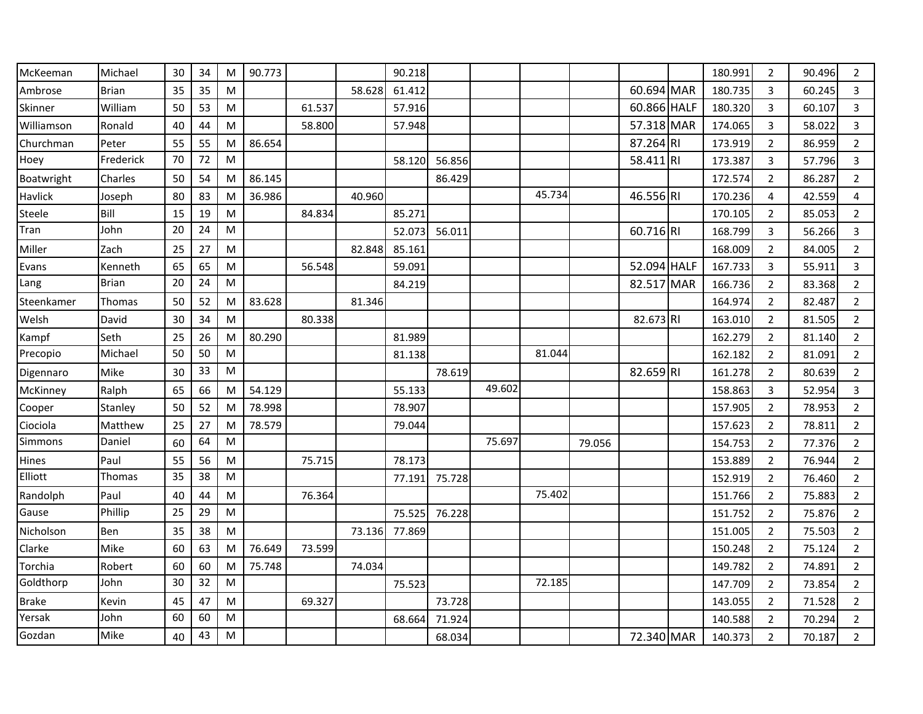| McKeeman   | Michael      | 30 | 34 | M         | 90.773 |        |        | 90.218 |        |        |        |        |             | 180.991 | $\overline{2}$ | 90.496 | $\overline{2}$ |
|------------|--------------|----|----|-----------|--------|--------|--------|--------|--------|--------|--------|--------|-------------|---------|----------------|--------|----------------|
| Ambrose    | <b>Brian</b> | 35 | 35 | M         |        |        | 58.628 | 61.412 |        |        |        |        | 60.694 MAR  | 180.735 | 3              | 60.245 | 3              |
| Skinner    | William      | 50 | 53 | M         |        | 61.537 |        | 57.916 |        |        |        |        | 60.866 HALF | 180.320 | 3              | 60.107 | 3              |
| Williamson | Ronald       | 40 | 44 | M         |        | 58.800 |        | 57.948 |        |        |        |        | 57.318 MAR  | 174.065 | 3              | 58.022 | 3              |
| Churchman  | Peter        | 55 | 55 | M         | 86.654 |        |        |        |        |        |        |        | 87.264 RI   | 173.919 | $\overline{2}$ | 86.959 | $\overline{2}$ |
| Hoey       | Frederick    | 70 | 72 | ${\sf M}$ |        |        |        | 58.120 | 56.856 |        |        |        | 58.411 RI   | 173.387 | 3              | 57.796 | 3              |
| Boatwright | Charles      | 50 | 54 | M         | 86.145 |        |        |        | 86.429 |        |        |        |             | 172.574 | $\overline{2}$ | 86.287 | $\overline{2}$ |
| Havlick    | Joseph       | 80 | 83 | M         | 36.986 |        | 40.960 |        |        |        | 45.734 |        | 46.556 RI   | 170.236 | $\overline{4}$ | 42.559 | 4              |
| Steele     | Bill         | 15 | 19 | M         |        | 84.834 |        | 85.271 |        |        |        |        |             | 170.105 | $\overline{2}$ | 85.053 | $\overline{2}$ |
| Tran       | John         | 20 | 24 | M         |        |        |        | 52.073 | 56.011 |        |        |        | 60.716 RI   | 168.799 | 3              | 56.266 | 3              |
| Miller     | Zach         | 25 | 27 | M         |        |        | 82.848 | 85.161 |        |        |        |        |             | 168.009 | $\overline{2}$ | 84.005 | $\overline{2}$ |
| Evans      | Kenneth      | 65 | 65 | M         |        | 56.548 |        | 59.091 |        |        |        |        | 52.094 HALF | 167.733 | 3              | 55.911 | 3              |
| Lang       | <b>Brian</b> | 20 | 24 | ${\sf M}$ |        |        |        | 84.219 |        |        |        |        | 82.517 MAR  | 166.736 | $\overline{2}$ | 83.368 | $\overline{2}$ |
| Steenkamer | Thomas       | 50 | 52 | M         | 83.628 |        | 81.346 |        |        |        |        |        |             | 164.974 | $\overline{2}$ | 82.487 | $\overline{2}$ |
| Welsh      | David        | 30 | 34 | M         |        | 80.338 |        |        |        |        |        |        | 82.673 RI   | 163.010 | $\overline{2}$ | 81.505 | $\overline{2}$ |
| Kampf      | Seth         | 25 | 26 | M         | 80.290 |        |        | 81.989 |        |        |        |        |             | 162.279 | $\overline{2}$ | 81.140 | $\overline{2}$ |
| Precopio   | Michael      | 50 | 50 | M         |        |        |        | 81.138 |        |        | 81.044 |        |             | 162.182 | 2              | 81.091 | $\overline{2}$ |
| Digennaro  | Mike         | 30 | 33 | M         |        |        |        |        | 78.619 |        |        |        | 82.659 RI   | 161.278 | $\overline{2}$ | 80.639 | $\overline{2}$ |
| McKinney   | Ralph        | 65 | 66 | M         | 54.129 |        |        | 55.133 |        | 49.602 |        |        |             | 158.863 | 3              | 52.954 | 3              |
| Cooper     | Stanley      | 50 | 52 | M         | 78.998 |        |        | 78.907 |        |        |        |        |             | 157.905 | 2              | 78.953 | $\overline{2}$ |
| Ciociola   | Matthew      | 25 | 27 | M         | 78.579 |        |        | 79.044 |        |        |        |        |             | 157.623 | 2              | 78.811 | $\overline{2}$ |
| Simmons    | Daniel       | 60 | 64 | M         |        |        |        |        |        | 75.697 |        | 79.056 |             | 154.753 | $\overline{2}$ | 77.376 | $\overline{2}$ |
| Hines      | Paul         | 55 | 56 | M         |        | 75.715 |        | 78.173 |        |        |        |        |             | 153.889 | $\overline{2}$ | 76.944 | $\overline{2}$ |
| Elliott    | Thomas       | 35 | 38 | M         |        |        |        | 77.191 | 75.728 |        |        |        |             | 152.919 | $\overline{2}$ | 76.460 | $\overline{2}$ |
| Randolph   | Paul         | 40 | 44 | M         |        | 76.364 |        |        |        |        | 75.402 |        |             | 151.766 | 2              | 75.883 | $\overline{2}$ |
| Gause      | Phillip      | 25 | 29 | M         |        |        |        | 75.525 | 76.228 |        |        |        |             | 151.752 | 2              | 75.876 | $\overline{2}$ |
| Nicholson  | Ben          | 35 | 38 | M         |        |        | 73.136 | 77.869 |        |        |        |        |             | 151.005 | $\overline{2}$ | 75.503 | $\overline{2}$ |
| Clarke     | Mike         | 60 | 63 | M         | 76.649 | 73.599 |        |        |        |        |        |        |             | 150.248 | $\overline{2}$ | 75.124 | $\overline{2}$ |
| Torchia    | Robert       | 60 | 60 | M         | 75.748 |        | 74.034 |        |        |        |        |        |             | 149.782 | $\overline{2}$ | 74.891 | $\overline{2}$ |
| Goldthorp  | John         | 30 | 32 | M         |        |        |        | 75.523 |        |        | 72.185 |        |             | 147.709 | $\overline{2}$ | 73.854 | $\overline{2}$ |
| Brake      | Kevin        | 45 | 47 | M         |        | 69.327 |        |        | 73.728 |        |        |        |             | 143.055 | $\overline{2}$ | 71.528 | $\overline{2}$ |
| Yersak     | John         | 60 | 60 | M         |        |        |        | 68.664 | 71.924 |        |        |        |             | 140.588 | $\overline{2}$ | 70.294 | $\overline{2}$ |
| Gozdan     | Mike         | 40 | 43 | M         |        |        |        |        | 68.034 |        |        |        | 72.340 MAR  | 140.373 | $\overline{2}$ | 70.187 | $\overline{2}$ |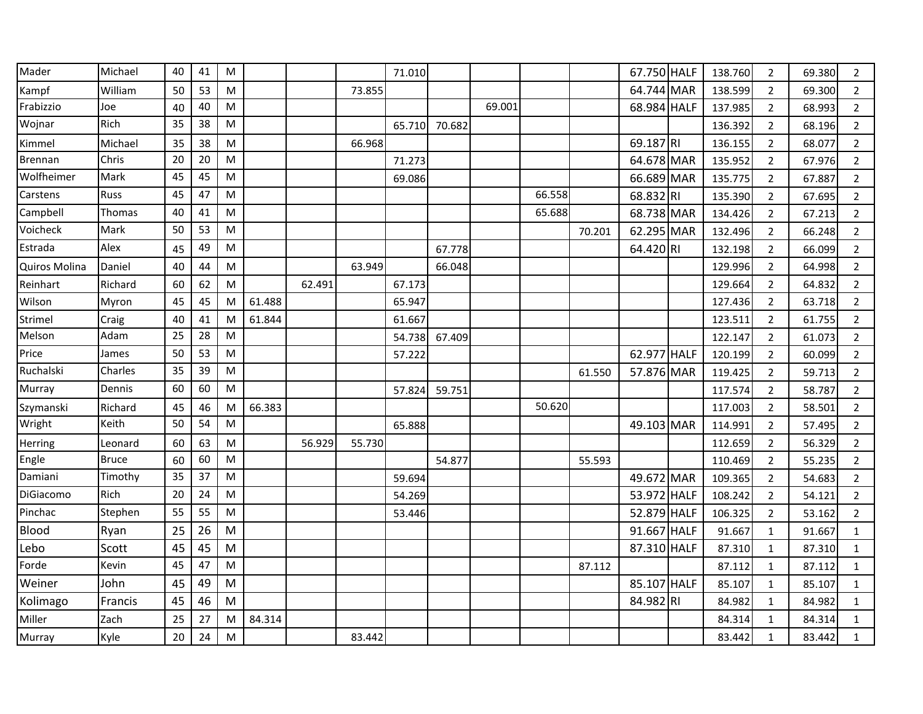| Mader          | Michael      | 40 | 41 | M |        |        |        | 71.010 |        |        |        |        | 67.750 HALF | 138.760 | $\overline{2}$ | 69.380 | 2              |
|----------------|--------------|----|----|---|--------|--------|--------|--------|--------|--------|--------|--------|-------------|---------|----------------|--------|----------------|
| Kampf          | William      | 50 | 53 | M |        |        | 73.855 |        |        |        |        |        | 64.744 MAR  | 138.599 | $\overline{2}$ | 69.300 | $\overline{2}$ |
| Frabizzio      | Joe          | 40 | 40 | M |        |        |        |        |        | 69.001 |        |        | 68.984 HALF | 137.985 | 2              | 68.993 | $\overline{2}$ |
| Wojnar         | Rich         | 35 | 38 | M |        |        |        | 65.710 | 70.682 |        |        |        |             | 136.392 | $\overline{2}$ | 68.196 | $\overline{2}$ |
| Kimmel         | Michael      | 35 | 38 | M |        |        | 66.968 |        |        |        |        |        | 69.187 RI   | 136.155 | $\overline{2}$ | 68.077 | $\overline{2}$ |
| <b>Brennan</b> | Chris        | 20 | 20 | M |        |        |        | 71.273 |        |        |        |        | 64.678 MAR  | 135.952 | $\overline{2}$ | 67.976 | $\overline{2}$ |
| Wolfheimer     | Mark         | 45 | 45 | M |        |        |        | 69.086 |        |        |        |        | 66.689 MAR  | 135.775 | 2              | 67.887 | $\overline{2}$ |
| Carstens       | <b>Russ</b>  | 45 | 47 | M |        |        |        |        |        |        | 66.558 |        | 68.832 RI   | 135.390 | $\overline{2}$ | 67.695 | $\overline{2}$ |
| Campbell       | Thomas       | 40 | 41 | M |        |        |        |        |        |        | 65.688 |        | 68.738 MAR  | 134.426 | $\overline{2}$ | 67.213 | $\overline{2}$ |
| Voicheck       | Mark         | 50 | 53 | M |        |        |        |        |        |        |        | 70.201 | 62.295 MAR  | 132.496 | 2              | 66.248 | $\overline{2}$ |
| Estrada        | Alex         | 45 | 49 | M |        |        |        |        | 67.778 |        |        |        | 64.420 RI   | 132.198 | 2              | 66.099 | $\overline{2}$ |
| Quiros Molina  | Daniel       | 40 | 44 | M |        |        | 63.949 |        | 66.048 |        |        |        |             | 129.996 | $\overline{2}$ | 64.998 | $\overline{2}$ |
| Reinhart       | Richard      | 60 | 62 | M |        | 62.491 |        | 67.173 |        |        |        |        |             | 129.664 | $\overline{2}$ | 64.832 | $\overline{2}$ |
| Wilson         | Myron        | 45 | 45 | M | 61.488 |        |        | 65.947 |        |        |        |        |             | 127.436 | $\overline{2}$ | 63.718 | $\overline{2}$ |
| Strimel        | Craig        | 40 | 41 | M | 61.844 |        |        | 61.667 |        |        |        |        |             | 123.511 | $\overline{2}$ | 61.755 | $\overline{2}$ |
| Melson         | Adam         | 25 | 28 | M |        |        |        | 54.738 | 67.409 |        |        |        |             | 122.147 | $\overline{2}$ | 61.073 | $\overline{2}$ |
| Price          | James        | 50 | 53 | M |        |        |        | 57.222 |        |        |        |        | 62.977 HALF | 120.199 | $\overline{2}$ | 60.099 | $\overline{2}$ |
| Ruchalski      | Charles      | 35 | 39 | M |        |        |        |        |        |        |        | 61.550 | 57.876 MAR  | 119.425 | $\overline{2}$ | 59.713 | $\overline{2}$ |
| Murray         | Dennis       | 60 | 60 | M |        |        |        | 57.824 | 59.751 |        |        |        |             | 117.574 | $\overline{2}$ | 58.787 | $\overline{2}$ |
| Szymanski      | Richard      | 45 | 46 | M | 66.383 |        |        |        |        |        | 50.620 |        |             | 117.003 | $\overline{2}$ | 58.501 | $\overline{2}$ |
| Wright         | Keith        | 50 | 54 | M |        |        |        | 65.888 |        |        |        |        | 49.103 MAR  | 114.991 | 2              | 57.495 | $\overline{2}$ |
| Herring        | Leonard      | 60 | 63 | M |        | 56.929 | 55.730 |        |        |        |        |        |             | 112.659 | $\overline{2}$ | 56.329 | $\overline{2}$ |
| Engle          | <b>Bruce</b> | 60 | 60 | M |        |        |        |        | 54.877 |        |        | 55.593 |             | 110.469 | $\overline{2}$ | 55.235 | $\overline{2}$ |
| Damiani        | Timothy      | 35 | 37 | M |        |        |        | 59.694 |        |        |        |        | 49.672 MAR  | 109.365 | $\overline{2}$ | 54.683 | $\overline{2}$ |
| DiGiacomo      | <b>Rich</b>  | 20 | 24 | M |        |        |        | 54.269 |        |        |        |        | 53.972 HALF | 108.242 | $\overline{2}$ | 54.121 | $\overline{2}$ |
| Pinchac        | Stephen      | 55 | 55 | M |        |        |        | 53.446 |        |        |        |        | 52.879 HALF | 106.325 | $\overline{2}$ | 53.162 | $\overline{2}$ |
| Blood          | Ryan         | 25 | 26 | M |        |        |        |        |        |        |        |        | 91.667 HALF | 91.667  | $\mathbf{1}$   | 91.667 | $\mathbf{1}$   |
| Lebo           | Scott        | 45 | 45 | M |        |        |        |        |        |        |        |        | 87.310 HALF | 87.310  | $\mathbf{1}$   | 87.310 | $\mathbf{1}$   |
| Forde          | Kevin        | 45 | 47 | M |        |        |        |        |        |        |        | 87.112 |             | 87.112  | $\mathbf{1}$   | 87.112 | $\mathbf{1}$   |
| Weiner         | John         | 45 | 49 | M |        |        |        |        |        |        |        |        | 85.107 HALF | 85.107  | $\mathbf{1}$   | 85.107 | 1              |
| Kolimago       | Francis      | 45 | 46 | M |        |        |        |        |        |        |        |        | 84.982 RI   | 84.982  | 1              | 84.982 | 1              |
| Miller         | Zach         | 25 | 27 | M | 84.314 |        |        |        |        |        |        |        |             | 84.314  | $\mathbf{1}$   | 84.314 | $\mathbf{1}$   |
| Murray         | Kyle         | 20 | 24 | M |        |        | 83.442 |        |        |        |        |        |             | 83.442  | $\mathbf{1}$   | 83.442 | $\mathbf{1}$   |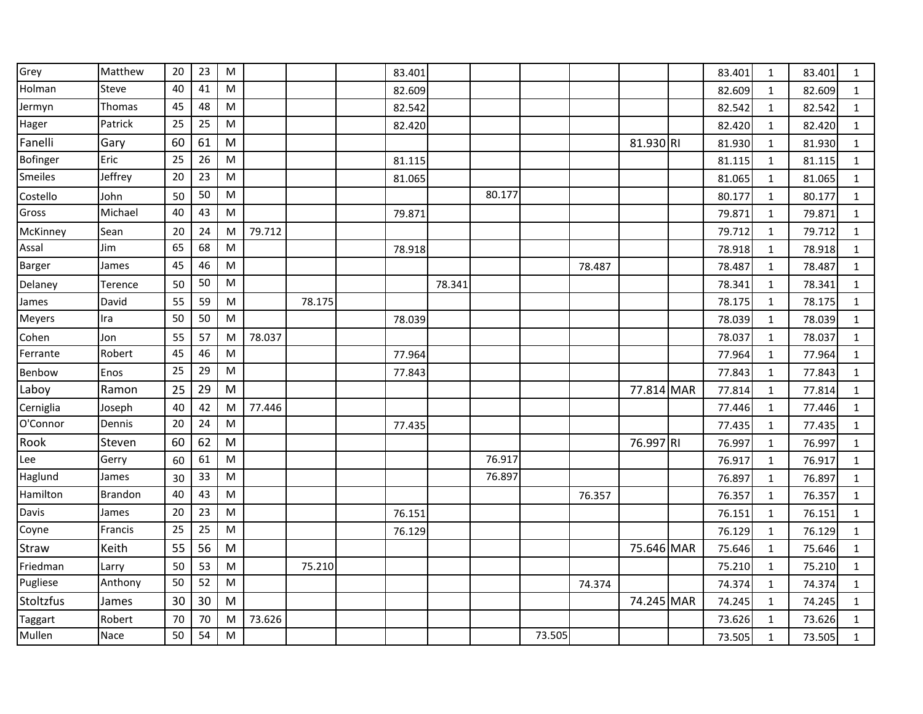| Grey      | Matthew        | 20 | 23 | M |        |        | 83.401 |        |        |        |        |            | 83.401 | 1            | 83.401 | 1            |
|-----------|----------------|----|----|---|--------|--------|--------|--------|--------|--------|--------|------------|--------|--------------|--------|--------------|
| Holman    | Steve          | 40 | 41 | M |        |        | 82.609 |        |        |        |        |            | 82.609 | 1            | 82.609 | $\mathbf{1}$ |
| Jermyn    | Thomas         | 45 | 48 | M |        |        | 82.542 |        |        |        |        |            | 82.542 | 1            | 82.542 | 1            |
| Hager     | Patrick        | 25 | 25 | M |        |        | 82.420 |        |        |        |        |            | 82.420 | 1            | 82.420 | 1            |
| Fanelli   | Gary           | 60 | 61 | M |        |        |        |        |        |        |        | 81.930 RI  | 81.930 | 1            | 81.930 | $\mathbf{1}$ |
| Bofinger  | Eric           | 25 | 26 | M |        |        | 81.115 |        |        |        |        |            | 81.115 | $\mathbf{1}$ | 81.115 | $\mathbf{1}$ |
| Smeiles   | Jeffrey        | 20 | 23 | M |        |        | 81.065 |        |        |        |        |            | 81.065 | $\mathbf{1}$ | 81.065 | 1            |
| Costello  | John           | 50 | 50 | M |        |        |        |        | 80.177 |        |        |            | 80.177 | $\mathbf{1}$ | 80.177 | $\mathbf{1}$ |
| Gross     | Michael        | 40 | 43 | M |        |        | 79.871 |        |        |        |        |            | 79.871 | 1            | 79.871 | $\mathbf{1}$ |
| McKinney  | Sean           | 20 | 24 | M | 79.712 |        |        |        |        |        |        |            | 79.712 | $\mathbf{1}$ | 79.712 | $\mathbf{1}$ |
| Assal     | Jim            | 65 | 68 | M |        |        | 78.918 |        |        |        |        |            | 78.918 | 1            | 78.918 | 1            |
| Barger    | James          | 45 | 46 | M |        |        |        |        |        |        | 78.487 |            | 78.487 | 1            | 78.487 | $\mathbf{1}$ |
| Delaney   | Terence        | 50 | 50 | M |        |        |        | 78.341 |        |        |        |            | 78.341 | 1            | 78.341 | $\mathbf{1}$ |
| James     | David          | 55 | 59 | M |        | 78.175 |        |        |        |        |        |            | 78.175 | 1            | 78.175 | $\mathbf{1}$ |
| Meyers    | Ira            | 50 | 50 | M |        |        | 78.039 |        |        |        |        |            | 78.039 | 1            | 78.039 | 1            |
| Cohen     | Jon            | 55 | 57 | M | 78.037 |        |        |        |        |        |        |            | 78.037 | 1            | 78.037 | $\mathbf{1}$ |
| Ferrante  | Robert         | 45 | 46 | M |        |        | 77.964 |        |        |        |        |            | 77.964 | 1            | 77.964 | $\mathbf{1}$ |
| Benbow    | Enos           | 25 | 29 | M |        |        | 77.843 |        |        |        |        |            | 77.843 | 1            | 77.843 | 1            |
| Laboy     | Ramon          | 25 | 29 | M |        |        |        |        |        |        |        | 77.814 MAR | 77.814 | 1            | 77.814 | $\mathbf{1}$ |
| Cerniglia | Joseph         | 40 | 42 | M | 77.446 |        |        |        |        |        |        |            | 77.446 | 1            | 77.446 | $\mathbf{1}$ |
| O'Connor  | Dennis         | 20 | 24 | M |        |        | 77.435 |        |        |        |        |            | 77.435 | 1            | 77.435 | $\mathbf{1}$ |
| Rook      | Steven         | 60 | 62 | M |        |        |        |        |        |        |        | 76.997 RI  | 76.997 | 1            | 76.997 | $\mathbf{1}$ |
| Lee       | Gerry          | 60 | 61 | M |        |        |        |        | 76.917 |        |        |            | 76.917 | 1            | 76.917 | $\mathbf{1}$ |
| Haglund   | James          | 30 | 33 | M |        |        |        |        | 76.897 |        |        |            | 76.897 | 1            | 76.897 | $\mathbf{1}$ |
| Hamilton  | <b>Brandon</b> | 40 | 43 | M |        |        |        |        |        |        | 76.357 |            | 76.357 | 1            | 76.357 | $\mathbf{1}$ |
| Davis     | James          | 20 | 23 | M |        |        | 76.151 |        |        |        |        |            | 76.151 | 1            | 76.151 | $\mathbf{1}$ |
| Coyne     | Francis        | 25 | 25 | M |        |        | 76.129 |        |        |        |        |            | 76.129 | 1            | 76.129 | $\mathbf{1}$ |
| Straw     | Keith          | 55 | 56 | M |        |        |        |        |        |        |        | 75.646 MAR | 75.646 | 1            | 75.646 | 1            |
| Friedman  | Larry          | 50 | 53 | M |        | 75.210 |        |        |        |        |        |            | 75.210 | 1            | 75.210 | $\mathbf{1}$ |
| Pugliese  | Anthony        | 50 | 52 | M |        |        |        |        |        |        | 74.374 |            | 74.374 | $\mathbf{1}$ | 74.374 | 1            |
| Stoltzfus | James          | 30 | 30 | M |        |        |        |        |        |        |        | 74.245 MAR | 74.245 | 1            | 74.245 | $\mathbf{1}$ |
| Taggart   | Robert         | 70 | 70 | M | 73.626 |        |        |        |        |        |        |            | 73.626 | 1            | 73.626 | 1            |
| Mullen    | Nace           | 50 | 54 | M |        |        |        |        |        | 73.505 |        |            | 73.505 | 1            | 73.505 | $\mathbf{1}$ |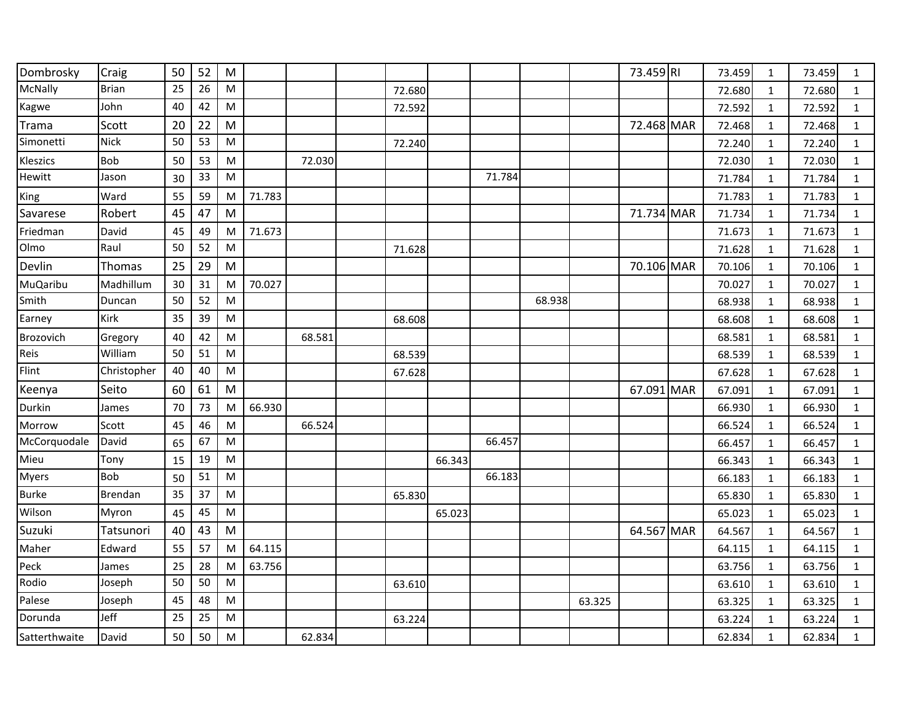| Dombrosky     | Craig        | 50 | 52         | M         |        |        |        |        |        |        |        | 73.459 RI  | 73.459 | 1            | 73.459 | $\mathbf{1}$ |
|---------------|--------------|----|------------|-----------|--------|--------|--------|--------|--------|--------|--------|------------|--------|--------------|--------|--------------|
| McNally       | <b>Brian</b> | 25 | 26         | M         |        |        | 72.680 |        |        |        |        |            | 72.680 | 1            | 72.680 | $\mathbf{1}$ |
| Kagwe         | John         | 40 | 42         | ${\sf M}$ |        |        | 72.592 |        |        |        |        |            | 72.592 | 1            | 72.592 | $\mathbf{1}$ |
| Trama         | Scott        | 20 | 22         | M         |        |        |        |        |        |        |        | 72.468 MAR | 72.468 | 1            | 72.468 | $\mathbf{1}$ |
| Simonetti     | <b>Nick</b>  | 50 | 53         | ${\sf M}$ |        |        | 72.240 |        |        |        |        |            | 72.240 | $\mathbf{1}$ | 72.240 | $\mathbf{1}$ |
| Kleszics      | <b>Bob</b>   | 50 | 53         | M         |        | 72.030 |        |        |        |        |        |            | 72.030 | 1            | 72.030 | $\mathbf{1}$ |
| Hewitt        | Jason        | 30 | 33         | ${\sf M}$ |        |        |        |        | 71.784 |        |        |            | 71.784 | 1            | 71.784 | $\mathbf{1}$ |
| King          | Ward         | 55 | 59         | M         | 71.783 |        |        |        |        |        |        |            | 71.783 | $\mathbf{1}$ | 71.783 | $\mathbf{1}$ |
| Savarese      | Robert       | 45 | 47         | M         |        |        |        |        |        |        |        | 71.734 MAR | 71.734 | $\mathbf{1}$ | 71.734 | $\mathbf{1}$ |
| Friedman      | David        | 45 | 49         | M         | 71.673 |        |        |        |        |        |        |            | 71.673 | $\mathbf{1}$ | 71.673 | $\mathbf{1}$ |
| Olmo          | Raul         | 50 | 52         | M         |        |        | 71.628 |        |        |        |        |            | 71.628 | 1            | 71.628 | $\mathbf{1}$ |
| Devlin        | Thomas       | 25 | 29         | M         |        |        |        |        |        |        |        | 70.106 MAR | 70.106 | $\mathbf{1}$ | 70.106 | $\mathbf{1}$ |
| MuQaribu      | Madhillum    | 30 | 31         | M         | 70.027 |        |        |        |        |        |        |            | 70.027 | $\mathbf{1}$ | 70.027 | $\mathbf{1}$ |
| Smith         | Duncan       | 50 | 52         | M         |        |        |        |        |        | 68.938 |        |            | 68.938 | 1            | 68.938 | $\mathbf{1}$ |
| Earney        | Kirk         | 35 | 39         | ${\sf M}$ |        |        | 68.608 |        |        |        |        |            | 68.608 | $\mathbf{1}$ | 68.608 | $\mathbf{1}$ |
| Brozovich     | Gregory      | 40 | 42         | ${\sf M}$ |        | 68.581 |        |        |        |        |        |            | 68.581 | $\mathbf{1}$ | 68.581 | $\mathbf{1}$ |
| Reis          | William      | 50 | 51         | ${\sf M}$ |        |        | 68.539 |        |        |        |        |            | 68.539 | $\mathbf{1}$ | 68.539 | $\mathbf{1}$ |
| Flint         | Christopher  | 40 | 40         | ${\sf M}$ |        |        | 67.628 |        |        |        |        |            | 67.628 | $\mathbf{1}$ | 67.628 | $\mathbf{1}$ |
| Keenya        | Seito        | 60 | 61         | M         |        |        |        |        |        |        |        | 67.091 MAR | 67.091 | $\mathbf 1$  | 67.091 | $\mathbf{1}$ |
| Durkin        | James        | 70 | 73         | M         | 66.930 |        |        |        |        |        |        |            | 66.930 | $\mathbf{1}$ | 66.930 | $\mathbf{1}$ |
| Morrow        | Scott        | 45 | 46         | M         |        | 66.524 |        |        |        |        |        |            | 66.524 | 1            | 66.524 | $\mathbf{1}$ |
| McCorquodale  | David        | 65 | 67         | ${\sf M}$ |        |        |        |        | 66.457 |        |        |            | 66.457 | $1\,$        | 66.457 | $\mathbf{1}$ |
| Mieu          | Tony         | 15 | 19         | ${\sf M}$ |        |        |        | 66.343 |        |        |        |            | 66.343 | $\mathbf{1}$ | 66.343 | $\mathbf{1}$ |
| Myers         | <b>Bob</b>   | 50 | ${\bf 51}$ | M         |        |        |        |        | 66.183 |        |        |            | 66.183 | $\mathbf{1}$ | 66.183 | $\mathbf{1}$ |
| <b>Burke</b>  | Brendan      | 35 | 37         | ${\sf M}$ |        |        | 65.830 |        |        |        |        |            | 65.830 | 1            | 65.830 | $\mathbf{1}$ |
| Wilson        | Myron        | 45 | 45         | M         |        |        |        | 65.023 |        |        |        |            | 65.023 | 1            | 65.023 | $\mathbf{1}$ |
| Suzuki        | Tatsunori    | 40 | 43         | M         |        |        |        |        |        |        |        | 64.567 MAR | 64.567 | $\mathbf{1}$ | 64.567 | $\mathbf{1}$ |
| Maher         | Edward       | 55 | 57         | M         | 64.115 |        |        |        |        |        |        |            | 64.115 | $\mathbf{1}$ | 64.115 | $\mathbf{1}$ |
| Peck          | James        | 25 | 28         | M         | 63.756 |        |        |        |        |        |        |            | 63.756 | 1            | 63.756 | $\mathbf{1}$ |
| Rodio         | Joseph       | 50 | 50         | ${\sf M}$ |        |        | 63.610 |        |        |        |        |            | 63.610 | $1\,$        | 63.610 | $\mathbf{1}$ |
| Palese        | Joseph       | 45 | 48         | ${\sf M}$ |        |        |        |        |        |        | 63.325 |            | 63.325 | $\mathbf{1}$ | 63.325 | $\mathbf{1}$ |
| Dorunda       | Jeff         | 25 | 25         | M         |        |        | 63.224 |        |        |        |        |            | 63.224 | 1            | 63.224 | $\mathbf{1}$ |
| Satterthwaite | David        | 50 | 50         | M         |        | 62.834 |        |        |        |        |        |            | 62.834 | 1            | 62.834 | $\mathbf{1}$ |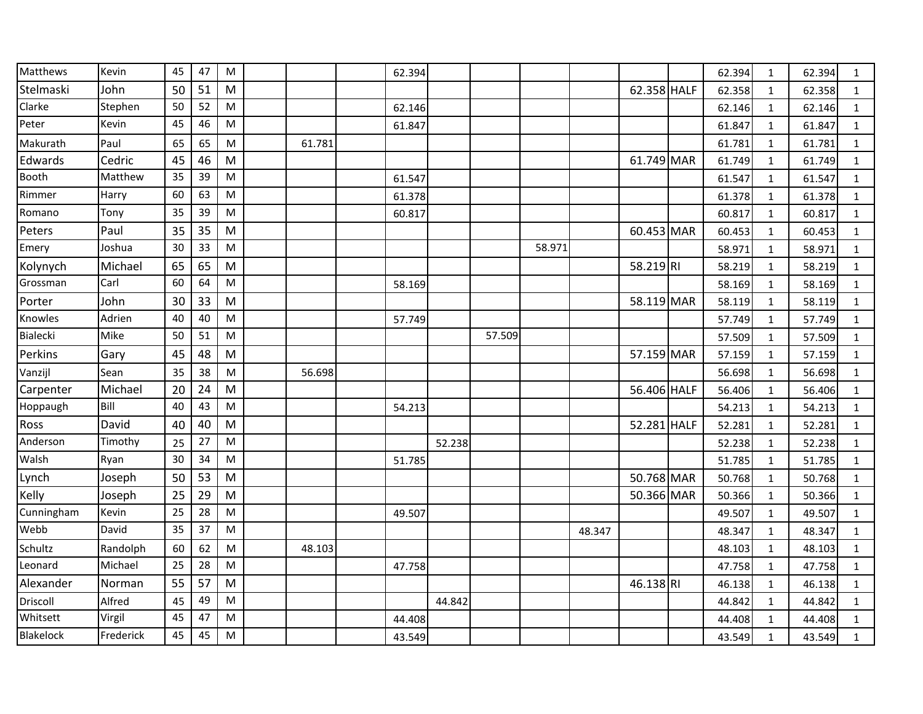| Matthews   | Kevin     | 45 | 47 | M                                                                                                          |        | 62.394 |        |        |        |        |             | 62.394 | 1            | 62.394 | $\mathbf{1}$ |
|------------|-----------|----|----|------------------------------------------------------------------------------------------------------------|--------|--------|--------|--------|--------|--------|-------------|--------|--------------|--------|--------------|
| Stelmaski  | John      | 50 | 51 | M                                                                                                          |        |        |        |        |        |        | 62.358 HALF | 62.358 | 1            | 62.358 | $\mathbf{1}$ |
| Clarke     | Stephen   | 50 | 52 | M                                                                                                          |        | 62.146 |        |        |        |        |             | 62.146 | $\mathbf{1}$ | 62.146 | $\mathbf{1}$ |
| Peter      | Kevin     | 45 | 46 | M                                                                                                          |        | 61.847 |        |        |        |        |             | 61.847 | 1            | 61.847 | $\mathbf{1}$ |
| Makurath   | Paul      | 65 | 65 | ${\sf M}$                                                                                                  | 61.781 |        |        |        |        |        |             | 61.781 | $\mathbf{1}$ | 61.781 | $\mathbf{1}$ |
| Edwards    | Cedric    | 45 | 46 | M                                                                                                          |        |        |        |        |        |        | 61.749 MAR  | 61.749 | $\mathbf{1}$ | 61.749 | $\mathbf{1}$ |
| Booth      | Matthew   | 35 | 39 | M                                                                                                          |        | 61.547 |        |        |        |        |             | 61.547 | 1            | 61.547 | $\mathbf{1}$ |
| Rimmer     | Harry     | 60 | 63 | M                                                                                                          |        | 61.378 |        |        |        |        |             | 61.378 | $\mathbf{1}$ | 61.378 | $\mathbf{1}$ |
| Romano     | Tony      | 35 | 39 | M                                                                                                          |        | 60.817 |        |        |        |        |             | 60.817 | $\mathbf{1}$ | 60.817 | $\mathbf{1}$ |
| Peters     | Paul      | 35 | 35 | M                                                                                                          |        |        |        |        |        |        | 60.453 MAR  | 60.453 | 1            | 60.453 | $\mathbf{1}$ |
| Emery      | Joshua    | 30 | 33 | M                                                                                                          |        |        |        |        | 58.971 |        |             | 58.971 | $\mathbf{1}$ | 58.971 | $\mathbf{1}$ |
| Kolynych   | Michael   | 65 | 65 | M                                                                                                          |        |        |        |        |        |        | 58.219 RI   | 58.219 | $\mathbf{1}$ | 58.219 | $\mathbf{1}$ |
| Grossman   | Carl      | 60 | 64 | $\mathsf{M}% _{T}=\mathsf{M}_{T}\!\left( a,b\right) ,\ \mathsf{M}_{T}=\mathsf{M}_{T}\!\left( a,b\right) ,$ |        | 58.169 |        |        |        |        |             | 58.169 | $\mathbf{1}$ | 58.169 | $\mathbf{1}$ |
| Porter     | John      | 30 | 33 | M                                                                                                          |        |        |        |        |        |        | 58.119 MAR  | 58.119 | $\mathbf{1}$ | 58.119 | $\mathbf{1}$ |
| Knowles    | Adrien    | 40 | 40 | M                                                                                                          |        | 57.749 |        |        |        |        |             | 57.749 | $\mathbf{1}$ | 57.749 | $\mathbf{1}$ |
| Bialecki   | Mike      | 50 | 51 | M                                                                                                          |        |        |        | 57.509 |        |        |             | 57.509 | $\mathbf 1$  | 57.509 | $\mathbf{1}$ |
| Perkins    | Gary      | 45 | 48 | M                                                                                                          |        |        |        |        |        |        | 57.159 MAR  | 57.159 | $\mathbf{1}$ | 57.159 | $\mathbf{1}$ |
| Vanzijl    | Sean      | 35 | 38 | M                                                                                                          | 56.698 |        |        |        |        |        |             | 56.698 | $\mathbf{1}$ | 56.698 | $\mathbf{1}$ |
| Carpenter  | Michael   | 20 | 24 | M                                                                                                          |        |        |        |        |        |        | 56.406 HALF | 56.406 | $\mathbf{1}$ | 56.406 | $\mathbf{1}$ |
| Hoppaugh   | Bill      | 40 | 43 | M                                                                                                          |        | 54.213 |        |        |        |        |             | 54.213 | $\mathbf{1}$ | 54.213 | $\mathbf{1}$ |
| Ross       | David     | 40 | 40 | M                                                                                                          |        |        |        |        |        |        | 52.281 HALF | 52.281 | 1            | 52.281 | $\mathbf{1}$ |
| Anderson   | Timothy   | 25 | 27 | M                                                                                                          |        |        | 52.238 |        |        |        |             | 52.238 | $\mathbf{1}$ | 52.238 | $\mathbf{1}$ |
| Walsh      | Ryan      | 30 | 34 | M                                                                                                          |        | 51.785 |        |        |        |        |             | 51.785 | $\mathbf{1}$ | 51.785 | $1\,$        |
| Lynch      | Joseph    | 50 | 53 | M                                                                                                          |        |        |        |        |        |        | 50.768 MAR  | 50.768 | $\mathbf{1}$ | 50.768 | $\mathbf{1}$ |
| Kelly      | Joseph    | 25 | 29 | M                                                                                                          |        |        |        |        |        |        | 50.366 MAR  | 50.366 | $\mathbf{1}$ | 50.366 | $\mathbf{1}$ |
| Cunningham | Kevin     | 25 | 28 | M                                                                                                          |        | 49.507 |        |        |        |        |             | 49.507 | $\mathbf{1}$ | 49.507 | $\mathbf{1}$ |
| Webb       | David     | 35 | 37 | M                                                                                                          |        |        |        |        |        | 48.347 |             | 48.347 | $\mathbf{1}$ | 48.347 | $\mathbf{1}$ |
| Schultz    | Randolph  | 60 | 62 | ${\sf M}$                                                                                                  | 48.103 |        |        |        |        |        |             | 48.103 | $\mathbf{1}$ | 48.103 | $\mathbf{1}$ |
| Leonard    | Michael   | 25 | 28 | $\mathsf{M}% _{T}=\mathsf{M}_{T}\!\left( a,b\right) ,\ \mathsf{M}_{T}=\mathsf{M}_{T}\!\left( a,b\right) ,$ |        | 47.758 |        |        |        |        |             | 47.758 | $\mathbf{1}$ | 47.758 | $\mathbf{1}$ |
| Alexander  | Norman    | 55 | 57 | M                                                                                                          |        |        |        |        |        |        | 46.138 RI   | 46.138 | $\mathbf{1}$ | 46.138 | $\mathbf{1}$ |
| Driscoll   | Alfred    | 45 | 49 | M                                                                                                          |        |        | 44.842 |        |        |        |             | 44.842 | $\mathbf 1$  | 44.842 | $\mathbf{1}$ |
| Whitsett   | Virgil    | 45 | 47 | M                                                                                                          |        | 44.408 |        |        |        |        |             | 44.408 | 1            | 44.408 | $\mathbf{1}$ |
| Blakelock  | Frederick | 45 | 45 | M                                                                                                          |        | 43.549 |        |        |        |        |             | 43.549 | $\mathbf{1}$ | 43.549 | $\mathbf{1}$ |